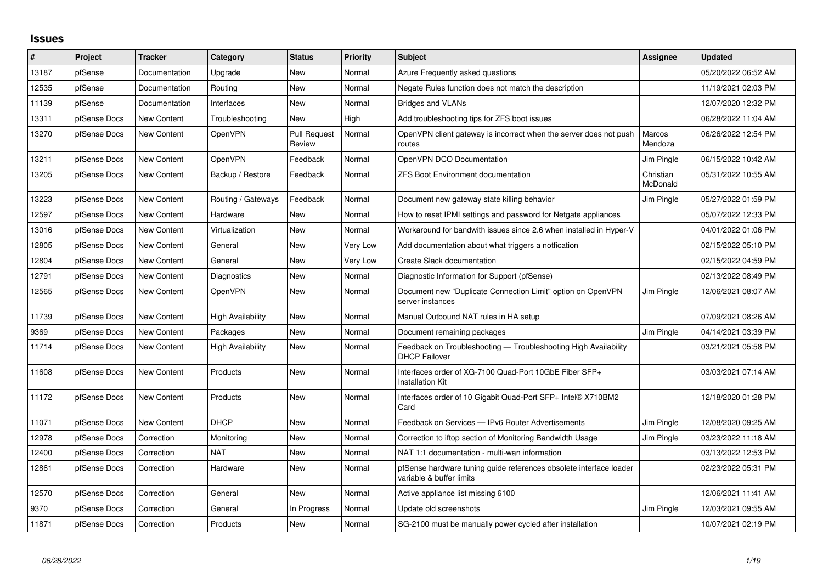## **Issues**

| #     | Project      | Tracker            | Category           | <b>Status</b>                 | Priority | <b>Subject</b>                                                                                 | Assignee                 | <b>Updated</b>      |
|-------|--------------|--------------------|--------------------|-------------------------------|----------|------------------------------------------------------------------------------------------------|--------------------------|---------------------|
| 13187 | pfSense      | Documentation      | Upgrade            | New                           | Normal   | Azure Frequently asked questions                                                               |                          | 05/20/2022 06:52 AM |
| 12535 | pfSense      | Documentation      | Routing            | New                           | Normal   | Negate Rules function does not match the description                                           |                          | 11/19/2021 02:03 PM |
| 11139 | pfSense      | Documentation      | Interfaces         | New                           | Normal   | Bridges and VLANs                                                                              |                          | 12/07/2020 12:32 PM |
| 13311 | pfSense Docs | <b>New Content</b> | Troubleshooting    | New                           | High     | Add troubleshooting tips for ZFS boot issues                                                   |                          | 06/28/2022 11:04 AM |
| 13270 | pfSense Docs | <b>New Content</b> | <b>OpenVPN</b>     | <b>Pull Request</b><br>Review | Normal   | OpenVPN client gateway is incorrect when the server does not push<br>routes                    | <b>Marcos</b><br>Mendoza | 06/26/2022 12:54 PM |
| 13211 | pfSense Docs | <b>New Content</b> | OpenVPN            | Feedback                      | Normal   | OpenVPN DCO Documentation                                                                      | Jim Pingle               | 06/15/2022 10:42 AM |
| 13205 | pfSense Docs | New Content        | Backup / Restore   | Feedback                      | Normal   | <b>ZFS Boot Environment documentation</b>                                                      | Christian<br>McDonald    | 05/31/2022 10:55 AM |
| 13223 | pfSense Docs | New Content        | Routing / Gateways | Feedback                      | Normal   | Document new gateway state killing behavior                                                    | Jim Pingle               | 05/27/2022 01:59 PM |
| 12597 | pfSense Docs | New Content        | Hardware           | New                           | Normal   | How to reset IPMI settings and password for Netgate appliances                                 |                          | 05/07/2022 12:33 PM |
| 13016 | pfSense Docs | <b>New Content</b> | Virtualization     | New                           | Normal   | Workaround for bandwith issues since 2.6 when installed in Hyper-V                             |                          | 04/01/2022 01:06 PM |
| 12805 | pfSense Docs | New Content        | General            | New                           | Very Low | Add documentation about what triggers a notfication                                            |                          | 02/15/2022 05:10 PM |
| 12804 | pfSense Docs | <b>New Content</b> | General            | <b>New</b>                    | Very Low | Create Slack documentation                                                                     |                          | 02/15/2022 04:59 PM |
| 12791 | pfSense Docs | New Content        | Diagnostics        | New                           | Normal   | Diagnostic Information for Support (pfSense)                                                   |                          | 02/13/2022 08:49 PM |
| 12565 | pfSense Docs | New Content        | <b>OpenVPN</b>     | New                           | Normal   | Document new "Duplicate Connection Limit" option on OpenVPN<br>server instances                | Jim Pingle               | 12/06/2021 08:07 AM |
| 11739 | pfSense Docs | <b>New Content</b> | High Availability  | New                           | Normal   | Manual Outbound NAT rules in HA setup                                                          |                          | 07/09/2021 08:26 AM |
| 9369  | pfSense Docs | New Content        | Packages           | New                           | Normal   | Document remaining packages                                                                    | Jim Pingle               | 04/14/2021 03:39 PM |
| 11714 | pfSense Docs | <b>New Content</b> | High Availability  | New                           | Normal   | Feedback on Troubleshooting - Troubleshooting High Availability<br><b>DHCP Failover</b>        |                          | 03/21/2021 05:58 PM |
| 11608 | pfSense Docs | New Content        | Products           | New                           | Normal   | Interfaces order of XG-7100 Quad-Port 10GbE Fiber SFP+<br><b>Installation Kit</b>              |                          | 03/03/2021 07:14 AM |
| 11172 | pfSense Docs | New Content        | Products           | New                           | Normal   | Interfaces order of 10 Gigabit Quad-Port SFP+ Intel® X710BM2<br>Card                           |                          | 12/18/2020 01:28 PM |
| 11071 | pfSense Docs | New Content        | <b>DHCP</b>        | New                           | Normal   | Feedback on Services - IPv6 Router Advertisements                                              | Jim Pingle               | 12/08/2020 09:25 AM |
| 12978 | pfSense Docs | Correction         | Monitoring         | New                           | Normal   | Correction to iftop section of Monitoring Bandwidth Usage                                      | Jim Pingle               | 03/23/2022 11:18 AM |
| 12400 | pfSense Docs | Correction         | <b>NAT</b>         | <b>New</b>                    | Normal   | NAT 1:1 documentation - multi-wan information                                                  |                          | 03/13/2022 12:53 PM |
| 12861 | pfSense Docs | Correction         | Hardware           | New                           | Normal   | pfSense hardware tuning guide references obsolete interface loader<br>variable & buffer limits |                          | 02/23/2022 05:31 PM |
| 12570 | pfSense Docs | Correction         | General            | New                           | Normal   | Active appliance list missing 6100                                                             |                          | 12/06/2021 11:41 AM |
| 9370  | pfSense Docs | Correction         | General            | In Progress                   | Normal   | Update old screenshots                                                                         | Jim Pingle               | 12/03/2021 09:55 AM |
| 11871 | pfSense Docs | Correction         | Products           | New                           | Normal   | SG-2100 must be manually power cycled after installation                                       |                          | 10/07/2021 02:19 PM |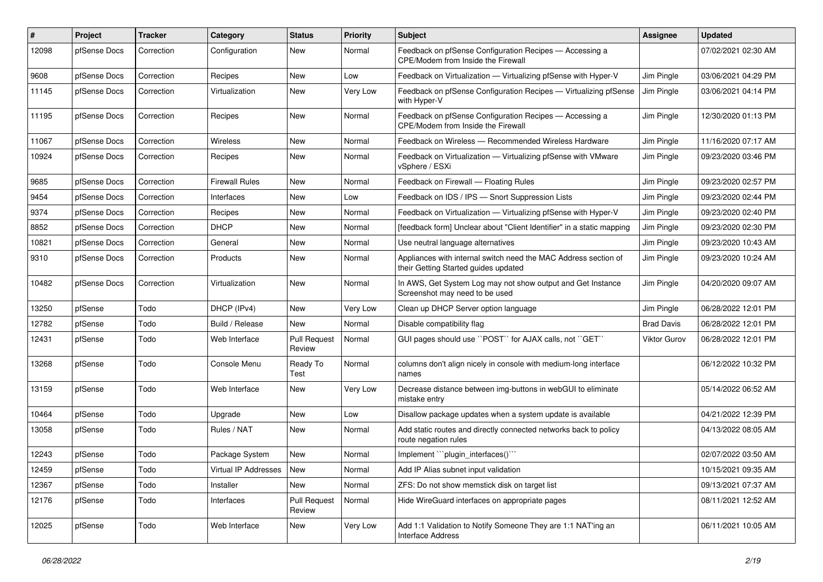| #     | Project      | <b>Tracker</b> | Category              | <b>Status</b>                 | <b>Priority</b> | <b>Subject</b>                                                                                          | Assignee          | <b>Updated</b>      |
|-------|--------------|----------------|-----------------------|-------------------------------|-----------------|---------------------------------------------------------------------------------------------------------|-------------------|---------------------|
| 12098 | pfSense Docs | Correction     | Configuration         | New                           | Normal          | Feedback on pfSense Configuration Recipes - Accessing a<br>CPE/Modem from Inside the Firewall           |                   | 07/02/2021 02:30 AM |
| 9608  | pfSense Docs | Correction     | Recipes               | New                           | Low             | Feedback on Virtualization - Virtualizing pfSense with Hyper-V                                          | Jim Pingle        | 03/06/2021 04:29 PM |
| 11145 | pfSense Docs | Correction     | Virtualization        | New                           | Very Low        | Feedback on pfSense Configuration Recipes - Virtualizing pfSense<br>with Hyper-V                        | Jim Pingle        | 03/06/2021 04:14 PM |
| 11195 | pfSense Docs | Correction     | Recipes               | New                           | Normal          | Feedback on pfSense Configuration Recipes - Accessing a<br>CPE/Modem from Inside the Firewall           | Jim Pingle        | 12/30/2020 01:13 PM |
| 11067 | pfSense Docs | Correction     | Wireless              | New                           | Normal          | Feedback on Wireless - Recommended Wireless Hardware                                                    | Jim Pingle        | 11/16/2020 07:17 AM |
| 10924 | pfSense Docs | Correction     | Recipes               | New                           | Normal          | Feedback on Virtualization - Virtualizing pfSense with VMware<br>vSphere / ESXi                         | Jim Pingle        | 09/23/2020 03:46 PM |
| 9685  | pfSense Docs | Correction     | <b>Firewall Rules</b> | New                           | Normal          | Feedback on Firewall - Floating Rules                                                                   | Jim Pingle        | 09/23/2020 02:57 PM |
| 9454  | pfSense Docs | Correction     | Interfaces            | New                           | Low             | Feedback on IDS / IPS - Snort Suppression Lists                                                         | Jim Pingle        | 09/23/2020 02:44 PM |
| 9374  | pfSense Docs | Correction     | Recipes               | New                           | Normal          | Feedback on Virtualization - Virtualizing pfSense with Hyper-V                                          | Jim Pingle        | 09/23/2020 02:40 PM |
| 8852  | pfSense Docs | Correction     | <b>DHCP</b>           | New                           | Normal          | [feedback form] Unclear about "Client Identifier" in a static mapping                                   | Jim Pingle        | 09/23/2020 02:30 PM |
| 10821 | pfSense Docs | Correction     | General               | New                           | Normal          | Use neutral language alternatives                                                                       | Jim Pingle        | 09/23/2020 10:43 AM |
| 9310  | pfSense Docs | Correction     | Products              | New                           | Normal          | Appliances with internal switch need the MAC Address section of<br>their Getting Started guides updated | Jim Pingle        | 09/23/2020 10:24 AM |
| 10482 | pfSense Docs | Correction     | Virtualization        | New                           | Normal          | In AWS, Get System Log may not show output and Get Instance<br>Screenshot may need to be used           | Jim Pingle        | 04/20/2020 09:07 AM |
| 13250 | pfSense      | Todo           | DHCP (IPv4)           | New                           | Very Low        | Clean up DHCP Server option language                                                                    | Jim Pingle        | 06/28/2022 12:01 PM |
| 12782 | pfSense      | Todo           | Build / Release       | New                           | Normal          | Disable compatibility flag                                                                              | <b>Brad Davis</b> | 06/28/2022 12:01 PM |
| 12431 | pfSense      | Todo           | Web Interface         | <b>Pull Request</b><br>Review | Normal          | GUI pages should use "POST" for AJAX calls, not "GET"                                                   | Viktor Gurov      | 06/28/2022 12:01 PM |
| 13268 | pfSense      | Todo           | Console Menu          | Ready To<br>Test              | Normal          | columns don't align nicely in console with medium-long interface<br>names                               |                   | 06/12/2022 10:32 PM |
| 13159 | pfSense      | Todo           | Web Interface         | New                           | Very Low        | Decrease distance between img-buttons in webGUI to eliminate<br>mistake entry                           |                   | 05/14/2022 06:52 AM |
| 10464 | pfSense      | Todo           | Upgrade               | New                           | Low             | Disallow package updates when a system update is available                                              |                   | 04/21/2022 12:39 PM |
| 13058 | pfSense      | Todo           | Rules / NAT           | New                           | Normal          | Add static routes and directly connected networks back to policy<br>route negation rules                |                   | 04/13/2022 08:05 AM |
| 12243 | pfSense      | Todo           | Package System        | New                           | Normal          | Implement "plugin_interfaces()"                                                                         |                   | 02/07/2022 03:50 AM |
| 12459 | pfSense      | Todo           | Virtual IP Addresses  | New                           | Normal          | Add IP Alias subnet input validation                                                                    |                   | 10/15/2021 09:35 AM |
| 12367 | pfSense      | Todo           | Installer             | New                           | Normal          | ZFS: Do not show memstick disk on target list                                                           |                   | 09/13/2021 07:37 AM |
| 12176 | pfSense      | Todo           | Interfaces            | <b>Pull Request</b><br>Review | Normal          | Hide WireGuard interfaces on appropriate pages                                                          |                   | 08/11/2021 12:52 AM |
| 12025 | pfSense      | Todo           | Web Interface         | New                           | Very Low        | Add 1:1 Validation to Notify Someone They are 1:1 NAT'ing an<br>Interface Address                       |                   | 06/11/2021 10:05 AM |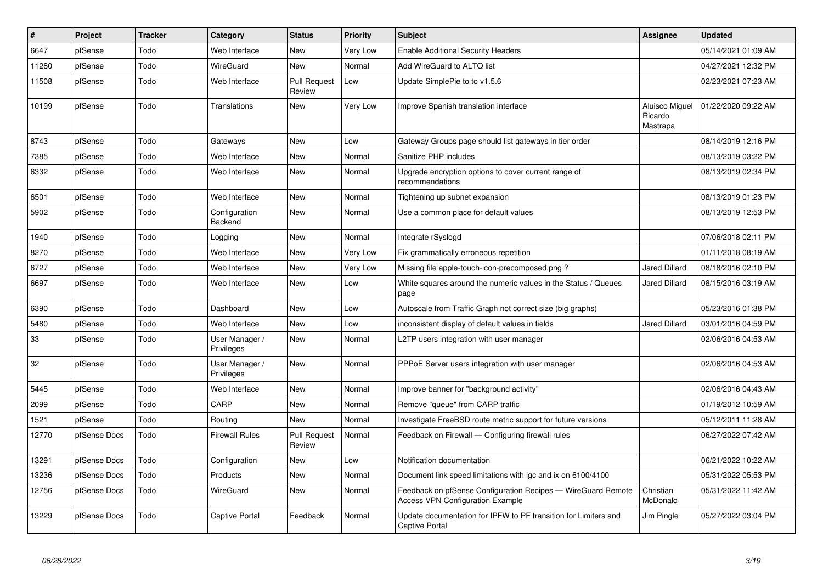| $\vert$ # | Project      | <b>Tracker</b> | Category                     | <b>Status</b>                 | <b>Priority</b> | <b>Subject</b>                                                                                          | Assignee                              | <b>Updated</b>      |
|-----------|--------------|----------------|------------------------------|-------------------------------|-----------------|---------------------------------------------------------------------------------------------------------|---------------------------------------|---------------------|
| 6647      | pfSense      | Todo           | Web Interface                | New                           | Very Low        | <b>Enable Additional Security Headers</b>                                                               |                                       | 05/14/2021 01:09 AM |
| 11280     | pfSense      | Todo           | WireGuard                    | <b>New</b>                    | Normal          | Add WireGuard to ALTQ list                                                                              |                                       | 04/27/2021 12:32 PM |
| 11508     | pfSense      | Todo           | Web Interface                | <b>Pull Request</b><br>Review | Low             | Update SimplePie to to v1.5.6                                                                           |                                       | 02/23/2021 07:23 AM |
| 10199     | pfSense      | Todo           | Translations                 | <b>New</b>                    | Very Low        | Improve Spanish translation interface                                                                   | Aluisco Miguel<br>Ricardo<br>Mastrapa | 01/22/2020 09:22 AM |
| 8743      | pfSense      | Todo           | Gateways                     | <b>New</b>                    | Low             | Gateway Groups page should list gateways in tier order                                                  |                                       | 08/14/2019 12:16 PM |
| 7385      | pfSense      | Todo           | Web Interface                | <b>New</b>                    | Normal          | Sanitize PHP includes                                                                                   |                                       | 08/13/2019 03:22 PM |
| 6332      | pfSense      | Todo           | Web Interface                | New                           | Normal          | Upgrade encryption options to cover current range of<br>recommendations                                 |                                       | 08/13/2019 02:34 PM |
| 6501      | pfSense      | Todo           | Web Interface                | New                           | Normal          | Tightening up subnet expansion                                                                          |                                       | 08/13/2019 01:23 PM |
| 5902      | pfSense      | Todo           | Configuration<br>Backend     | New                           | Normal          | Use a common place for default values                                                                   |                                       | 08/13/2019 12:53 PM |
| 1940      | pfSense      | Todo           | Logging                      | New                           | Normal          | Integrate rSyslogd                                                                                      |                                       | 07/06/2018 02:11 PM |
| 8270      | pfSense      | Todo           | Web Interface                | <b>New</b>                    | Very Low        | Fix grammatically erroneous repetition                                                                  |                                       | 01/11/2018 08:19 AM |
| 6727      | pfSense      | Todo           | Web Interface                | <b>New</b>                    | Very Low        | Missing file apple-touch-icon-precomposed.png?                                                          | <b>Jared Dillard</b>                  | 08/18/2016 02:10 PM |
| 6697      | pfSense      | Todo           | Web Interface                | New                           | Low             | White squares around the numeric values in the Status / Queues<br>page                                  | <b>Jared Dillard</b>                  | 08/15/2016 03:19 AM |
| 6390      | pfSense      | Todo           | Dashboard                    | <b>New</b>                    | Low             | Autoscale from Traffic Graph not correct size (big graphs)                                              |                                       | 05/23/2016 01:38 PM |
| 5480      | pfSense      | Todo           | Web Interface                | <b>New</b>                    | Low             | inconsistent display of default values in fields                                                        | <b>Jared Dillard</b>                  | 03/01/2016 04:59 PM |
| 33        | pfSense      | Todo           | User Manager /<br>Privileges | <b>New</b>                    | Normal          | L2TP users integration with user manager                                                                |                                       | 02/06/2016 04:53 AM |
| 32        | pfSense      | Todo           | User Manager /<br>Privileges | <b>New</b>                    | Normal          | PPPoE Server users integration with user manager                                                        |                                       | 02/06/2016 04:53 AM |
| 5445      | pfSense      | Todo           | Web Interface                | New                           | Normal          | Improve banner for "background activity"                                                                |                                       | 02/06/2016 04:43 AM |
| 2099      | pfSense      | Todo           | CARP                         | <b>New</b>                    | Normal          | Remove "queue" from CARP traffic                                                                        |                                       | 01/19/2012 10:59 AM |
| 1521      | pfSense      | Todo           | Routing                      | <b>New</b>                    | Normal          | Investigate FreeBSD route metric support for future versions                                            |                                       | 05/12/2011 11:28 AM |
| 12770     | pfSense Docs | Todo           | <b>Firewall Rules</b>        | <b>Pull Request</b><br>Review | Normal          | Feedback on Firewall - Configuring firewall rules                                                       |                                       | 06/27/2022 07:42 AM |
| 13291     | pfSense Docs | Todo           | Configuration                | New                           | Low             | Notification documentation                                                                              |                                       | 06/21/2022 10:22 AM |
| 13236     | pfSense Docs | Todo           | Products                     | New                           | Normal          | Document link speed limitations with igc and ix on 6100/4100                                            |                                       | 05/31/2022 05:53 PM |
| 12756     | pfSense Docs | Todo           | WireGuard                    | New                           | Normal          | Feedback on pfSense Configuration Recipes — WireGuard Remote<br><b>Access VPN Configuration Example</b> | Christian<br>McDonald                 | 05/31/2022 11:42 AM |
| 13229     | pfSense Docs | Todo           | <b>Captive Portal</b>        | Feedback                      | Normal          | Update documentation for IPFW to PF transition for Limiters and<br>Captive Portal                       | Jim Pingle                            | 05/27/2022 03:04 PM |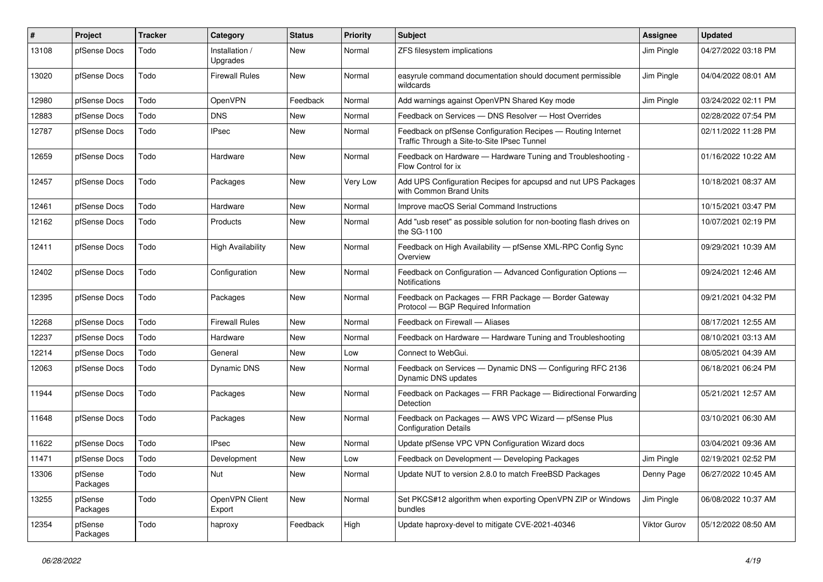| $\#$  | Project             | <b>Tracker</b> | Category                   | <b>Status</b> | <b>Priority</b> | <b>Subject</b>                                                                                              | Assignee            | <b>Updated</b>      |
|-------|---------------------|----------------|----------------------------|---------------|-----------------|-------------------------------------------------------------------------------------------------------------|---------------------|---------------------|
| 13108 | pfSense Docs        | Todo           | Installation /<br>Upgrades | New           | Normal          | ZFS filesystem implications                                                                                 | Jim Pingle          | 04/27/2022 03:18 PM |
| 13020 | pfSense Docs        | Todo           | <b>Firewall Rules</b>      | <b>New</b>    | Normal          | easyrule command documentation should document permissible<br>wildcards                                     | Jim Pingle          | 04/04/2022 08:01 AM |
| 12980 | pfSense Docs        | Todo           | OpenVPN                    | Feedback      | Normal          | Add warnings against OpenVPN Shared Key mode                                                                | Jim Pingle          | 03/24/2022 02:11 PM |
| 12883 | pfSense Docs        | Todo           | <b>DNS</b>                 | New           | Normal          | Feedback on Services - DNS Resolver - Host Overrides                                                        |                     | 02/28/2022 07:54 PM |
| 12787 | pfSense Docs        | Todo           | <b>IPsec</b>               | New           | Normal          | Feedback on pfSense Configuration Recipes - Routing Internet<br>Traffic Through a Site-to-Site IPsec Tunnel |                     | 02/11/2022 11:28 PM |
| 12659 | pfSense Docs        | Todo           | Hardware                   | <b>New</b>    | Normal          | Feedback on Hardware - Hardware Tuning and Troubleshooting -<br>Flow Control for ix                         |                     | 01/16/2022 10:22 AM |
| 12457 | pfSense Docs        | Todo           | Packages                   | New           | Very Low        | Add UPS Configuration Recipes for apcupsd and nut UPS Packages<br>with Common Brand Units                   |                     | 10/18/2021 08:37 AM |
| 12461 | pfSense Docs        | Todo           | Hardware                   | <b>New</b>    | Normal          | Improve macOS Serial Command Instructions                                                                   |                     | 10/15/2021 03:47 PM |
| 12162 | pfSense Docs        | Todo           | Products                   | New           | Normal          | Add "usb reset" as possible solution for non-booting flash drives on<br>the SG-1100                         |                     | 10/07/2021 02:19 PM |
| 12411 | pfSense Docs        | Todo           | <b>High Availability</b>   | <b>New</b>    | Normal          | Feedback on High Availability - pfSense XML-RPC Config Sync<br>Overview                                     |                     | 09/29/2021 10:39 AM |
| 12402 | pfSense Docs        | Todo           | Configuration              | New           | Normal          | Feedback on Configuration - Advanced Configuration Options -<br><b>Notifications</b>                        |                     | 09/24/2021 12:46 AM |
| 12395 | pfSense Docs        | Todo           | Packages                   | <b>New</b>    | Normal          | Feedback on Packages - FRR Package - Border Gateway<br>Protocol - BGP Required Information                  |                     | 09/21/2021 04:32 PM |
| 12268 | pfSense Docs        | Todo           | <b>Firewall Rules</b>      | New           | Normal          | Feedback on Firewall - Aliases                                                                              |                     | 08/17/2021 12:55 AM |
| 12237 | pfSense Docs        | Todo           | Hardware                   | New           | Normal          | Feedback on Hardware - Hardware Tuning and Troubleshooting                                                  |                     | 08/10/2021 03:13 AM |
| 12214 | pfSense Docs        | Todo           | General                    | <b>New</b>    | Low             | Connect to WebGui.                                                                                          |                     | 08/05/2021 04:39 AM |
| 12063 | pfSense Docs        | Todo           | Dynamic DNS                | New           | Normal          | Feedback on Services - Dynamic DNS - Configuring RFC 2136<br>Dynamic DNS updates                            |                     | 06/18/2021 06:24 PM |
| 11944 | pfSense Docs        | Todo           | Packages                   | <b>New</b>    | Normal          | Feedback on Packages - FRR Package - Bidirectional Forwarding<br>Detection                                  |                     | 05/21/2021 12:57 AM |
| 11648 | pfSense Docs        | Todo           | Packages                   | New           | Normal          | Feedback on Packages - AWS VPC Wizard - pfSense Plus<br><b>Configuration Details</b>                        |                     | 03/10/2021 06:30 AM |
| 11622 | pfSense Docs        | Todo           | <b>IPsec</b>               | New           | Normal          | Update pfSense VPC VPN Configuration Wizard docs                                                            |                     | 03/04/2021 09:36 AM |
| 11471 | pfSense Docs        | Todo           | Development                | New           | Low             | Feedback on Development - Developing Packages                                                               | Jim Pingle          | 02/19/2021 02:52 PM |
| 13306 | pfSense<br>Packages | Todo           | Nut                        | New           | Normal          | Update NUT to version 2.8.0 to match FreeBSD Packages                                                       | Denny Page          | 06/27/2022 10:45 AM |
| 13255 | pfSense<br>Packages | Todo           | OpenVPN Client<br>Export   | New           | Normal          | Set PKCS#12 algorithm when exporting OpenVPN ZIP or Windows<br><b>bundles</b>                               | Jim Pingle          | 06/08/2022 10:37 AM |
| 12354 | pfSense<br>Packages | Todo           | haproxy                    | Feedback      | High            | Update haproxy-devel to mitigate CVE-2021-40346                                                             | <b>Viktor Gurov</b> | 05/12/2022 08:50 AM |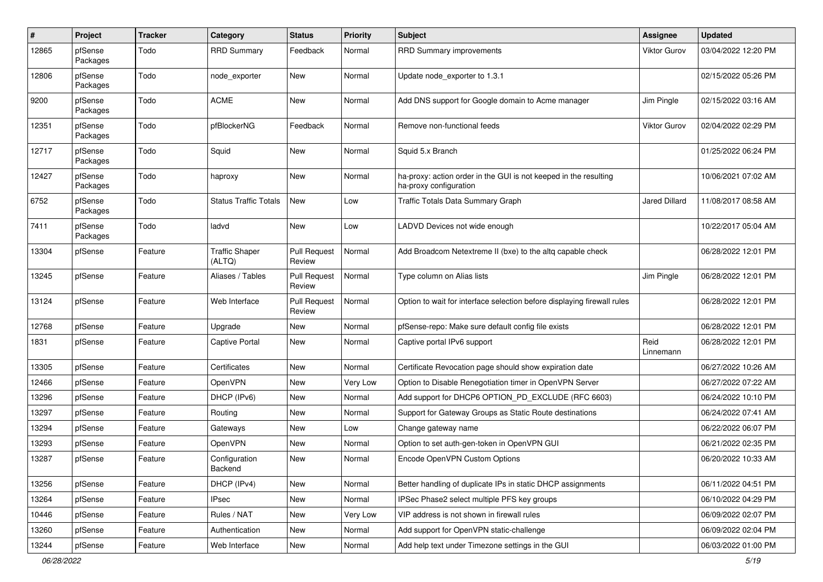| #     | Project             | <b>Tracker</b> | Category                        | <b>Status</b>                 | <b>Priority</b> | <b>Subject</b>                                                                             | Assignee             | <b>Updated</b>      |
|-------|---------------------|----------------|---------------------------------|-------------------------------|-----------------|--------------------------------------------------------------------------------------------|----------------------|---------------------|
| 12865 | pfSense<br>Packages | Todo           | <b>RRD Summary</b>              | Feedback                      | Normal          | <b>RRD Summary improvements</b>                                                            | Viktor Gurov         | 03/04/2022 12:20 PM |
| 12806 | pfSense<br>Packages | Todo           | node_exporter                   | New                           | Normal          | Update node_exporter to 1.3.1                                                              |                      | 02/15/2022 05:26 PM |
| 9200  | pfSense<br>Packages | Todo           | <b>ACME</b>                     | <b>New</b>                    | Normal          | Add DNS support for Google domain to Acme manager                                          | Jim Pingle           | 02/15/2022 03:16 AM |
| 12351 | pfSense<br>Packages | Todo           | pfBlockerNG                     | Feedback                      | Normal          | Remove non-functional feeds                                                                | Viktor Gurov         | 02/04/2022 02:29 PM |
| 12717 | pfSense<br>Packages | Todo           | Squid                           | <b>New</b>                    | Normal          | Squid 5.x Branch                                                                           |                      | 01/25/2022 06:24 PM |
| 12427 | pfSense<br>Packages | Todo           | haproxy                         | New                           | Normal          | ha-proxy: action order in the GUI is not keeped in the resulting<br>ha-proxy configuration |                      | 10/06/2021 07:02 AM |
| 6752  | pfSense<br>Packages | Todo           | <b>Status Traffic Totals</b>    | <b>New</b>                    | Low             | Traffic Totals Data Summary Graph                                                          | <b>Jared Dillard</b> | 11/08/2017 08:58 AM |
| 7411  | pfSense<br>Packages | Todo           | ladvd                           | New                           | Low             | LADVD Devices not wide enough                                                              |                      | 10/22/2017 05:04 AM |
| 13304 | pfSense             | Feature        | <b>Traffic Shaper</b><br>(ALTQ) | <b>Pull Request</b><br>Review | Normal          | Add Broadcom Netextreme II (bxe) to the altg capable check                                 |                      | 06/28/2022 12:01 PM |
| 13245 | pfSense             | Feature        | Aliases / Tables                | <b>Pull Request</b><br>Review | Normal          | Type column on Alias lists                                                                 | Jim Pingle           | 06/28/2022 12:01 PM |
| 13124 | pfSense             | Feature        | Web Interface                   | <b>Pull Request</b><br>Review | Normal          | Option to wait for interface selection before displaying firewall rules                    |                      | 06/28/2022 12:01 PM |
| 12768 | pfSense             | Feature        | Upgrade                         | New                           | Normal          | pfSense-repo: Make sure default config file exists                                         |                      | 06/28/2022 12:01 PM |
| 1831  | pfSense             | Feature        | Captive Portal                  | New                           | Normal          | Captive portal IPv6 support                                                                | Reid<br>Linnemann    | 06/28/2022 12:01 PM |
| 13305 | pfSense             | Feature        | Certificates                    | New                           | Normal          | Certificate Revocation page should show expiration date                                    |                      | 06/27/2022 10:26 AM |
| 12466 | pfSense             | Feature        | OpenVPN                         | New                           | Very Low        | Option to Disable Renegotiation timer in OpenVPN Server                                    |                      | 06/27/2022 07:22 AM |
| 13296 | pfSense             | Feature        | DHCP (IPv6)                     | New                           | Normal          | Add support for DHCP6 OPTION_PD_EXCLUDE (RFC 6603)                                         |                      | 06/24/2022 10:10 PM |
| 13297 | pfSense             | Feature        | Routing                         | New                           | Normal          | Support for Gateway Groups as Static Route destinations                                    |                      | 06/24/2022 07:41 AM |
| 13294 | pfSense             | Feature        | Gateways                        | New                           | Low             | Change gateway name                                                                        |                      | 06/22/2022 06:07 PM |
| 13293 | pfSense             | Feature        | OpenVPN                         | New                           | Normal          | Option to set auth-gen-token in OpenVPN GUI                                                |                      | 06/21/2022 02:35 PM |
| 13287 | pfSense             | Feature        | Configuration<br>Backend        | New                           | Normal          | Encode OpenVPN Custom Options                                                              |                      | 06/20/2022 10:33 AM |
| 13256 | pfSense             | Feature        | DHCP (IPv4)                     | New                           | Normal          | Better handling of duplicate IPs in static DHCP assignments                                |                      | 06/11/2022 04:51 PM |
| 13264 | pfSense             | Feature        | <b>IPsec</b>                    | New                           | Normal          | IPSec Phase2 select multiple PFS key groups                                                |                      | 06/10/2022 04:29 PM |
| 10446 | pfSense             | Feature        | Rules / NAT                     | New                           | Very Low        | VIP address is not shown in firewall rules                                                 |                      | 06/09/2022 02:07 PM |
| 13260 | pfSense             | Feature        | Authentication                  | New                           | Normal          | Add support for OpenVPN static-challenge                                                   |                      | 06/09/2022 02:04 PM |
| 13244 | pfSense             | Feature        | Web Interface                   | New                           | Normal          | Add help text under Timezone settings in the GUI                                           |                      | 06/03/2022 01:00 PM |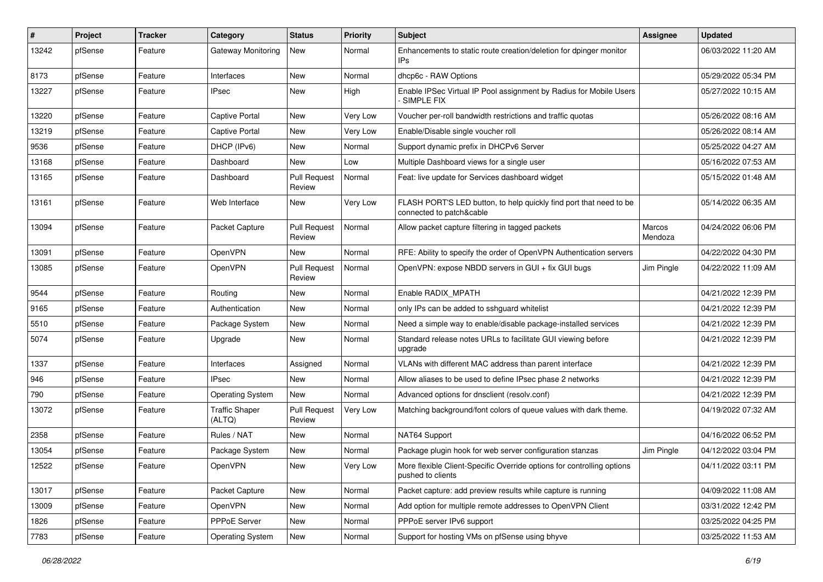| #     | Project | <b>Tracker</b> | Category                        | <b>Status</b>                 | <b>Priority</b> | <b>Subject</b>                                                                                 | Assignee                 | <b>Updated</b>      |
|-------|---------|----------------|---------------------------------|-------------------------------|-----------------|------------------------------------------------------------------------------------------------|--------------------------|---------------------|
| 13242 | pfSense | Feature        | Gateway Monitoring              | New                           | Normal          | Enhancements to static route creation/deletion for dpinger monitor<br>IPs                      |                          | 06/03/2022 11:20 AM |
| 8173  | pfSense | Feature        | Interfaces                      | New                           | Normal          | dhcp6c - RAW Options                                                                           |                          | 05/29/2022 05:34 PM |
| 13227 | pfSense | Feature        | <b>IPsec</b>                    | New                           | High            | Enable IPSec Virtual IP Pool assignment by Radius for Mobile Users<br><b>SIMPLE FIX</b>        |                          | 05/27/2022 10:15 AM |
| 13220 | pfSense | Feature        | <b>Captive Portal</b>           | New                           | Very Low        | Voucher per-roll bandwidth restrictions and traffic quotas                                     |                          | 05/26/2022 08:16 AM |
| 13219 | pfSense | Feature        | <b>Captive Portal</b>           | New                           | Very Low        | Enable/Disable single voucher roll                                                             |                          | 05/26/2022 08:14 AM |
| 9536  | pfSense | Feature        | DHCP (IPv6)                     | New                           | Normal          | Support dynamic prefix in DHCPv6 Server                                                        |                          | 05/25/2022 04:27 AM |
| 13168 | pfSense | Feature        | Dashboard                       | New                           | Low             | Multiple Dashboard views for a single user                                                     |                          | 05/16/2022 07:53 AM |
| 13165 | pfSense | Feature        | Dashboard                       | <b>Pull Request</b><br>Review | Normal          | Feat: live update for Services dashboard widget                                                |                          | 05/15/2022 01:48 AM |
| 13161 | pfSense | Feature        | Web Interface                   | New                           | Very Low        | FLASH PORT'S LED button, to help quickly find port that need to be<br>connected to patch&cable |                          | 05/14/2022 06:35 AM |
| 13094 | pfSense | Feature        | Packet Capture                  | <b>Pull Request</b><br>Review | Normal          | Allow packet capture filtering in tagged packets                                               | <b>Marcos</b><br>Mendoza | 04/24/2022 06:06 PM |
| 13091 | pfSense | Feature        | <b>OpenVPN</b>                  | <b>New</b>                    | Normal          | RFE: Ability to specify the order of OpenVPN Authentication servers                            |                          | 04/22/2022 04:30 PM |
| 13085 | pfSense | Feature        | OpenVPN                         | <b>Pull Request</b><br>Review | Normal          | OpenVPN: expose NBDD servers in GUI + fix GUI bugs                                             | Jim Pingle               | 04/22/2022 11:09 AM |
| 9544  | pfSense | Feature        | Routing                         | New                           | Normal          | Enable RADIX MPATH                                                                             |                          | 04/21/2022 12:39 PM |
| 9165  | pfSense | Feature        | Authentication                  | New                           | Normal          | only IPs can be added to sshguard whitelist                                                    |                          | 04/21/2022 12:39 PM |
| 5510  | pfSense | Feature        | Package System                  | New                           | Normal          | Need a simple way to enable/disable package-installed services                                 |                          | 04/21/2022 12:39 PM |
| 5074  | pfSense | Feature        | Upgrade                         | New                           | Normal          | Standard release notes URLs to facilitate GUI viewing before<br>upgrade                        |                          | 04/21/2022 12:39 PM |
| 1337  | pfSense | Feature        | Interfaces                      | Assigned                      | Normal          | VLANs with different MAC address than parent interface                                         |                          | 04/21/2022 12:39 PM |
| 946   | pfSense | Feature        | <b>IPsec</b>                    | New                           | Normal          | Allow aliases to be used to define IPsec phase 2 networks                                      |                          | 04/21/2022 12:39 PM |
| 790   | pfSense | Feature        | <b>Operating System</b>         | New                           | Normal          | Advanced options for dnsclient (resolv.conf)                                                   |                          | 04/21/2022 12:39 PM |
| 13072 | pfSense | Feature        | <b>Traffic Shaper</b><br>(ALTQ) | <b>Pull Request</b><br>Review | Very Low        | Matching background/font colors of queue values with dark theme.                               |                          | 04/19/2022 07:32 AM |
| 2358  | pfSense | Feature        | Rules / NAT                     | New                           | Normal          | NAT64 Support                                                                                  |                          | 04/16/2022 06:52 PM |
| 13054 | pfSense | Feature        | Package System                  | New                           | Normal          | Package plugin hook for web server configuration stanzas                                       | Jim Pingle               | 04/12/2022 03:04 PM |
| 12522 | pfSense | Feature        | OpenVPN                         | New                           | Very Low        | More flexible Client-Specific Override options for controlling options<br>pushed to clients    |                          | 04/11/2022 03:11 PM |
| 13017 | pfSense | Feature        | Packet Capture                  | New                           | Normal          | Packet capture: add preview results while capture is running                                   |                          | 04/09/2022 11:08 AM |
| 13009 | pfSense | Feature        | OpenVPN                         | New                           | Normal          | Add option for multiple remote addresses to OpenVPN Client                                     |                          | 03/31/2022 12:42 PM |
| 1826  | pfSense | Feature        | PPPoE Server                    | New                           | Normal          | PPPoE server IPv6 support                                                                      |                          | 03/25/2022 04:25 PM |
| 7783  | pfSense | Feature        | <b>Operating System</b>         | New                           | Normal          | Support for hosting VMs on pfSense using bhyve                                                 |                          | 03/25/2022 11:53 AM |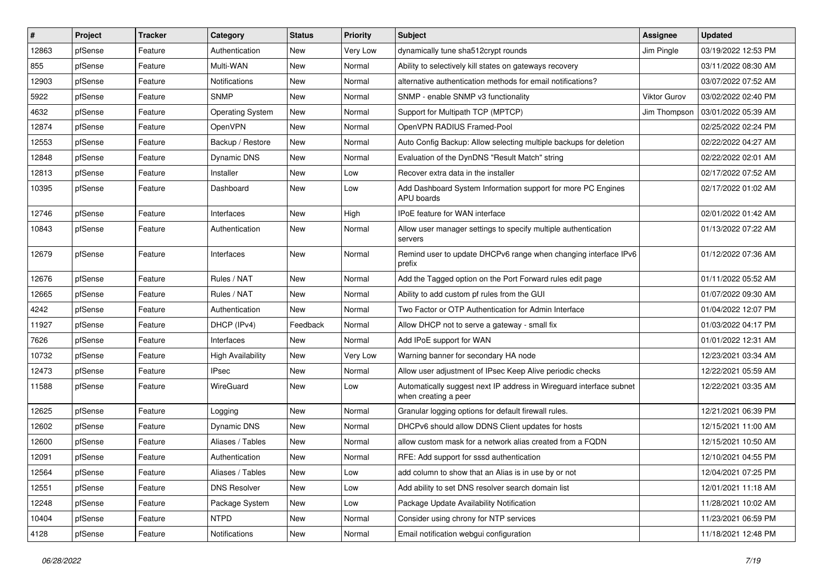| #     | Project | <b>Tracker</b> | Category                 | <b>Status</b> | <b>Priority</b> | <b>Subject</b>                                                                              | <b>Assignee</b>     | <b>Updated</b>      |
|-------|---------|----------------|--------------------------|---------------|-----------------|---------------------------------------------------------------------------------------------|---------------------|---------------------|
| 12863 | pfSense | Feature        | Authentication           | New           | Very Low        | dynamically tune sha512crypt rounds                                                         | Jim Pingle          | 03/19/2022 12:53 PM |
| 855   | pfSense | Feature        | Multi-WAN                | New           | Normal          | Ability to selectively kill states on gateways recovery                                     |                     | 03/11/2022 08:30 AM |
| 12903 | pfSense | Feature        | <b>Notifications</b>     | New           | Normal          | alternative authentication methods for email notifications?                                 |                     | 03/07/2022 07:52 AM |
| 5922  | pfSense | Feature        | <b>SNMP</b>              | <b>New</b>    | Normal          | SNMP - enable SNMP v3 functionality                                                         | <b>Viktor Gurov</b> | 03/02/2022 02:40 PM |
| 4632  | pfSense | Feature        | <b>Operating System</b>  | <b>New</b>    | Normal          | Support for Multipath TCP (MPTCP)                                                           | Jim Thompson        | 03/01/2022 05:39 AM |
| 12874 | pfSense | Feature        | <b>OpenVPN</b>           | New           | Normal          | OpenVPN RADIUS Framed-Pool                                                                  |                     | 02/25/2022 02:24 PM |
| 12553 | pfSense | Feature        | Backup / Restore         | <b>New</b>    | Normal          | Auto Config Backup: Allow selecting multiple backups for deletion                           |                     | 02/22/2022 04:27 AM |
| 12848 | pfSense | Feature        | Dynamic DNS              | New           | Normal          | Evaluation of the DynDNS "Result Match" string                                              |                     | 02/22/2022 02:01 AM |
| 12813 | pfSense | Feature        | Installer                | New           | Low             | Recover extra data in the installer                                                         |                     | 02/17/2022 07:52 AM |
| 10395 | pfSense | Feature        | Dashboard                | <b>New</b>    | Low             | Add Dashboard System Information support for more PC Engines<br>APU boards                  |                     | 02/17/2022 01:02 AM |
| 12746 | pfSense | Feature        | Interfaces               | <b>New</b>    | High            | IPoE feature for WAN interface                                                              |                     | 02/01/2022 01:42 AM |
| 10843 | pfSense | Feature        | Authentication           | New           | Normal          | Allow user manager settings to specify multiple authentication<br>servers                   |                     | 01/13/2022 07:22 AM |
| 12679 | pfSense | Feature        | Interfaces               | <b>New</b>    | Normal          | Remind user to update DHCPv6 range when changing interface IPv6<br>prefix                   |                     | 01/12/2022 07:36 AM |
| 12676 | pfSense | Feature        | Rules / NAT              | New           | Normal          | Add the Tagged option on the Port Forward rules edit page                                   |                     | 01/11/2022 05:52 AM |
| 12665 | pfSense | Feature        | Rules / NAT              | <b>New</b>    | Normal          | Ability to add custom pf rules from the GUI                                                 |                     | 01/07/2022 09:30 AM |
| 4242  | pfSense | Feature        | Authentication           | New           | Normal          | Two Factor or OTP Authentication for Admin Interface                                        |                     | 01/04/2022 12:07 PM |
| 11927 | pfSense | Feature        | DHCP (IPv4)              | Feedback      | Normal          | Allow DHCP not to serve a gateway - small fix                                               |                     | 01/03/2022 04:17 PM |
| 7626  | pfSense | Feature        | Interfaces               | <b>New</b>    | Normal          | Add IPoE support for WAN                                                                    |                     | 01/01/2022 12:31 AM |
| 10732 | pfSense | Feature        | <b>High Availability</b> | New           | Very Low        | Warning banner for secondary HA node                                                        |                     | 12/23/2021 03:34 AM |
| 12473 | pfSense | Feature        | <b>IPsec</b>             | New           | Normal          | Allow user adjustment of IPsec Keep Alive periodic checks                                   |                     | 12/22/2021 05:59 AM |
| 11588 | pfSense | Feature        | WireGuard                | New           | Low             | Automatically suggest next IP address in Wireguard interface subnet<br>when creating a peer |                     | 12/22/2021 03:35 AM |
| 12625 | pfSense | Feature        | Logging                  | <b>New</b>    | Normal          | Granular logging options for default firewall rules.                                        |                     | 12/21/2021 06:39 PM |
| 12602 | pfSense | Feature        | Dynamic DNS              | New           | Normal          | DHCPv6 should allow DDNS Client updates for hosts                                           |                     | 12/15/2021 11:00 AM |
| 12600 | pfSense | Feature        | Aliases / Tables         | New           | Normal          | allow custom mask for a network alias created from a FQDN                                   |                     | 12/15/2021 10:50 AM |
| 12091 | pfSense | Feature        | Authentication           | <b>New</b>    | Normal          | RFE: Add support for sssd authentication                                                    |                     | 12/10/2021 04:55 PM |
| 12564 | pfSense | Feature        | Aliases / Tables         | New           | Low             | add column to show that an Alias is in use by or not                                        |                     | 12/04/2021 07:25 PM |
| 12551 | pfSense | Feature        | <b>DNS Resolver</b>      | New           | Low             | Add ability to set DNS resolver search domain list                                          |                     | 12/01/2021 11:18 AM |
| 12248 | pfSense | Feature        | Package System           | New           | Low             | Package Update Availability Notification                                                    |                     | 11/28/2021 10:02 AM |
| 10404 | pfSense | Feature        | <b>NTPD</b>              | New           | Normal          | Consider using chrony for NTP services                                                      |                     | 11/23/2021 06:59 PM |
| 4128  | pfSense | Feature        | Notifications            | New           | Normal          | Email notification webgui configuration                                                     |                     | 11/18/2021 12:48 PM |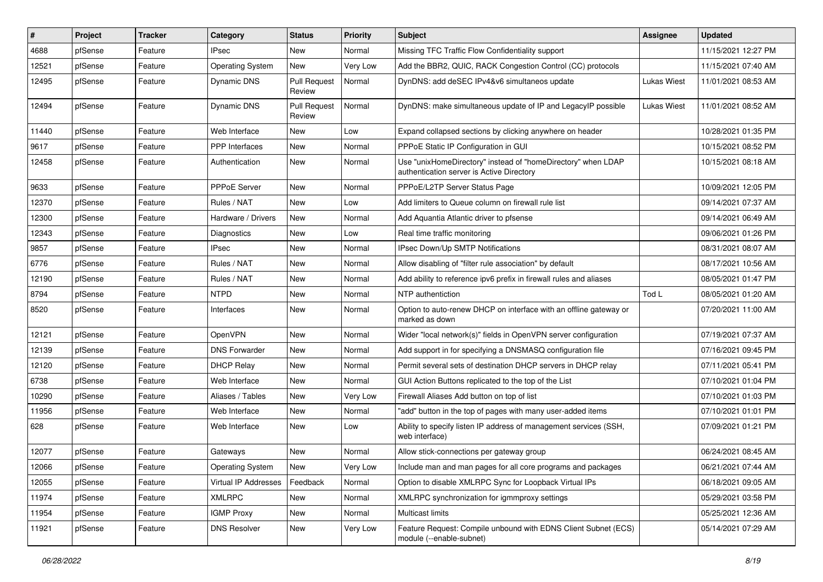| #     | Project | <b>Tracker</b> | Category                | <b>Status</b>                 | <b>Priority</b> | <b>Subject</b>                                                                                            | <b>Assignee</b>    | <b>Updated</b>      |
|-------|---------|----------------|-------------------------|-------------------------------|-----------------|-----------------------------------------------------------------------------------------------------------|--------------------|---------------------|
| 4688  | pfSense | Feature        | <b>IPsec</b>            | New                           | Normal          | Missing TFC Traffic Flow Confidentiality support                                                          |                    | 11/15/2021 12:27 PM |
| 12521 | pfSense | Feature        | <b>Operating System</b> | New                           | Very Low        | Add the BBR2, QUIC, RACK Congestion Control (CC) protocols                                                |                    | 11/15/2021 07:40 AM |
| 12495 | pfSense | Feature        | Dynamic DNS             | <b>Pull Request</b><br>Review | Normal          | DynDNS: add deSEC IPv4&v6 simultaneos update                                                              | <b>Lukas Wiest</b> | 11/01/2021 08:53 AM |
| 12494 | pfSense | Feature        | Dynamic DNS             | <b>Pull Request</b><br>Review | Normal          | DynDNS: make simultaneous update of IP and LegacyIP possible                                              | <b>Lukas Wiest</b> | 11/01/2021 08:52 AM |
| 11440 | pfSense | Feature        | Web Interface           | New                           | Low             | Expand collapsed sections by clicking anywhere on header                                                  |                    | 10/28/2021 01:35 PM |
| 9617  | pfSense | Feature        | PPP Interfaces          | <b>New</b>                    | Normal          | PPPoE Static IP Configuration in GUI                                                                      |                    | 10/15/2021 08:52 PM |
| 12458 | pfSense | Feature        | Authentication          | New                           | Normal          | Use "unixHomeDirectory" instead of "homeDirectory" when LDAP<br>authentication server is Active Directory |                    | 10/15/2021 08:18 AM |
| 9633  | pfSense | Feature        | <b>PPPoE Server</b>     | <b>New</b>                    | Normal          | PPPoE/L2TP Server Status Page                                                                             |                    | 10/09/2021 12:05 PM |
| 12370 | pfSense | Feature        | Rules / NAT             | New                           | Low             | Add limiters to Queue column on firewall rule list                                                        |                    | 09/14/2021 07:37 AM |
| 12300 | pfSense | Feature        | Hardware / Drivers      | <b>New</b>                    | Normal          | Add Aquantia Atlantic driver to pfsense                                                                   |                    | 09/14/2021 06:49 AM |
| 12343 | pfSense | Feature        | Diagnostics             | New                           | Low             | Real time traffic monitoring                                                                              |                    | 09/06/2021 01:26 PM |
| 9857  | pfSense | Feature        | <b>IPsec</b>            | New                           | Normal          | IPsec Down/Up SMTP Notifications                                                                          |                    | 08/31/2021 08:07 AM |
| 6776  | pfSense | Feature        | Rules / NAT             | <b>New</b>                    | Normal          | Allow disabling of "filter rule association" by default                                                   |                    | 08/17/2021 10:56 AM |
| 12190 | pfSense | Feature        | Rules / NAT             | New                           | Normal          | Add ability to reference ipv6 prefix in firewall rules and aliases                                        |                    | 08/05/2021 01:47 PM |
| 8794  | pfSense | Feature        | <b>NTPD</b>             | <b>New</b>                    | Normal          | NTP authentiction                                                                                         | Tod L              | 08/05/2021 01:20 AM |
| 8520  | pfSense | Feature        | Interfaces              | New                           | Normal          | Option to auto-renew DHCP on interface with an offline gateway or<br>marked as down                       |                    | 07/20/2021 11:00 AM |
| 12121 | pfSense | Feature        | OpenVPN                 | New                           | Normal          | Wider "local network(s)" fields in OpenVPN server configuration                                           |                    | 07/19/2021 07:37 AM |
| 12139 | pfSense | Feature        | <b>DNS Forwarder</b>    | New                           | Normal          | Add support in for specifying a DNSMASQ configuration file                                                |                    | 07/16/2021 09:45 PM |
| 12120 | pfSense | Feature        | <b>DHCP Relay</b>       | New                           | Normal          | Permit several sets of destination DHCP servers in DHCP relay                                             |                    | 07/11/2021 05:41 PM |
| 6738  | pfSense | Feature        | Web Interface           | <b>New</b>                    | Normal          | GUI Action Buttons replicated to the top of the List                                                      |                    | 07/10/2021 01:04 PM |
| 10290 | pfSense | Feature        | Aliases / Tables        | New                           | Very Low        | Firewall Aliases Add button on top of list                                                                |                    | 07/10/2021 01:03 PM |
| 11956 | pfSense | Feature        | Web Interface           | <b>New</b>                    | Normal          | "add" button in the top of pages with many user-added items                                               |                    | 07/10/2021 01:01 PM |
| 628   | pfSense | Feature        | Web Interface           | New                           | Low             | Ability to specify listen IP address of management services (SSH,<br>web interface)                       |                    | 07/09/2021 01:21 PM |
| 12077 | pfSense | Feature        | Gateways                | <b>New</b>                    | Normal          | Allow stick-connections per gateway group                                                                 |                    | 06/24/2021 08:45 AM |
| 12066 | pfSense | Feature        | <b>Operating System</b> | New                           | Very Low        | Include man and man pages for all core programs and packages                                              |                    | 06/21/2021 07:44 AM |
| 12055 | pfSense | Feature        | Virtual IP Addresses    | Feedback                      | Normal          | Option to disable XMLRPC Sync for Loopback Virtual IPs                                                    |                    | 06/18/2021 09:05 AM |
| 11974 | pfSense | Feature        | <b>XMLRPC</b>           | New                           | Normal          | XMLRPC synchronization for igmmproxy settings                                                             |                    | 05/29/2021 03:58 PM |
| 11954 | pfSense | Feature        | <b>IGMP Proxy</b>       | New                           | Normal          | Multicast limits                                                                                          |                    | 05/25/2021 12:36 AM |
| 11921 | pfSense | Feature        | <b>DNS Resolver</b>     | New                           | Very Low        | Feature Request: Compile unbound with EDNS Client Subnet (ECS)<br>module (--enable-subnet)                |                    | 05/14/2021 07:29 AM |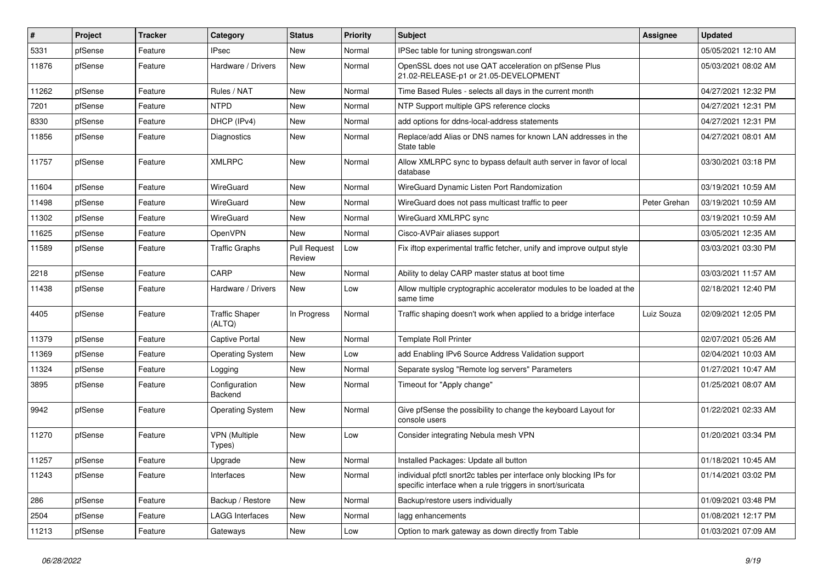| #     | Project | <b>Tracker</b> | Category                        | <b>Status</b>                 | <b>Priority</b> | <b>Subject</b>                                                                                                                   | Assignee     | <b>Updated</b>      |
|-------|---------|----------------|---------------------------------|-------------------------------|-----------------|----------------------------------------------------------------------------------------------------------------------------------|--------------|---------------------|
| 5331  | pfSense | Feature        | <b>IPsec</b>                    | New                           | Normal          | IPSec table for tuning strongswan.conf                                                                                           |              | 05/05/2021 12:10 AM |
| 11876 | pfSense | Feature        | Hardware / Drivers              | <b>New</b>                    | Normal          | OpenSSL does not use QAT acceleration on pfSense Plus<br>21.02-RELEASE-p1 or 21.05-DEVELOPMENT                                   |              | 05/03/2021 08:02 AM |
| 11262 | pfSense | Feature        | Rules / NAT                     | <b>New</b>                    | Normal          | Time Based Rules - selects all days in the current month                                                                         |              | 04/27/2021 12:32 PM |
| 7201  | pfSense | Feature        | <b>NTPD</b>                     | New                           | Normal          | NTP Support multiple GPS reference clocks                                                                                        |              | 04/27/2021 12:31 PM |
| 8330  | pfSense | Feature        | DHCP (IPv4)                     | New                           | Normal          | add options for ddns-local-address statements                                                                                    |              | 04/27/2021 12:31 PM |
| 11856 | pfSense | Feature        | Diagnostics                     | New                           | Normal          | Replace/add Alias or DNS names for known LAN addresses in the<br>State table                                                     |              | 04/27/2021 08:01 AM |
| 11757 | pfSense | Feature        | <b>XMLRPC</b>                   | New                           | Normal          | Allow XMLRPC sync to bypass default auth server in favor of local<br>database                                                    |              | 03/30/2021 03:18 PM |
| 11604 | pfSense | Feature        | WireGuard                       | New                           | Normal          | WireGuard Dynamic Listen Port Randomization                                                                                      |              | 03/19/2021 10:59 AM |
| 11498 | pfSense | Feature        | WireGuard                       | New                           | Normal          | WireGuard does not pass multicast traffic to peer                                                                                | Peter Grehan | 03/19/2021 10:59 AM |
| 11302 | pfSense | Feature        | WireGuard                       | <b>New</b>                    | Normal          | WireGuard XMLRPC sync                                                                                                            |              | 03/19/2021 10:59 AM |
| 11625 | pfSense | Feature        | <b>OpenVPN</b>                  | New                           | Normal          | Cisco-AVPair aliases support                                                                                                     |              | 03/05/2021 12:35 AM |
| 11589 | pfSense | Feature        | <b>Traffic Graphs</b>           | <b>Pull Request</b><br>Review | Low             | Fix iftop experimental traffic fetcher, unify and improve output style                                                           |              | 03/03/2021 03:30 PM |
| 2218  | pfSense | Feature        | CARP                            | New                           | Normal          | Ability to delay CARP master status at boot time                                                                                 |              | 03/03/2021 11:57 AM |
| 11438 | pfSense | Feature        | Hardware / Drivers              | <b>New</b>                    | Low             | Allow multiple cryptographic accelerator modules to be loaded at the<br>same time                                                |              | 02/18/2021 12:40 PM |
| 4405  | pfSense | Feature        | <b>Traffic Shaper</b><br>(ALTQ) | In Progress                   | Normal          | Traffic shaping doesn't work when applied to a bridge interface                                                                  | Luiz Souza   | 02/09/2021 12:05 PM |
| 11379 | pfSense | Feature        | Captive Portal                  | New                           | Normal          | <b>Template Roll Printer</b>                                                                                                     |              | 02/07/2021 05:26 AM |
| 11369 | pfSense | Feature        | <b>Operating System</b>         | New                           | Low             | add Enabling IPv6 Source Address Validation support                                                                              |              | 02/04/2021 10:03 AM |
| 11324 | pfSense | Feature        | Logging                         | <b>New</b>                    | Normal          | Separate syslog "Remote log servers" Parameters                                                                                  |              | 01/27/2021 10:47 AM |
| 3895  | pfSense | Feature        | Configuration<br>Backend        | New                           | Normal          | Timeout for "Apply change"                                                                                                       |              | 01/25/2021 08:07 AM |
| 9942  | pfSense | Feature        | <b>Operating System</b>         | New                           | Normal          | Give pfSense the possibility to change the keyboard Layout for<br>console users                                                  |              | 01/22/2021 02:33 AM |
| 11270 | pfSense | Feature        | <b>VPN</b> (Multiple<br>Types)  | <b>New</b>                    | Low             | Consider integrating Nebula mesh VPN                                                                                             |              | 01/20/2021 03:34 PM |
| 11257 | pfSense | Feature        | Upgrade                         | <b>New</b>                    | Normal          | Installed Packages: Update all button                                                                                            |              | 01/18/2021 10:45 AM |
| 11243 | pfSense | Feature        | Interfaces                      | New                           | Normal          | individual pfctl snort2c tables per interface only blocking IPs for<br>specific interface when a rule triggers in snort/suricata |              | 01/14/2021 03:02 PM |
| 286   | pfSense | Feature        | Backup / Restore                | New                           | Normal          | Backup/restore users individually                                                                                                |              | 01/09/2021 03:48 PM |
| 2504  | pfSense | Feature        | <b>LAGG Interfaces</b>          | New                           | Normal          | lagg enhancements                                                                                                                |              | 01/08/2021 12:17 PM |
| 11213 | pfSense | Feature        | Gateways                        | New                           | Low             | Option to mark gateway as down directly from Table                                                                               |              | 01/03/2021 07:09 AM |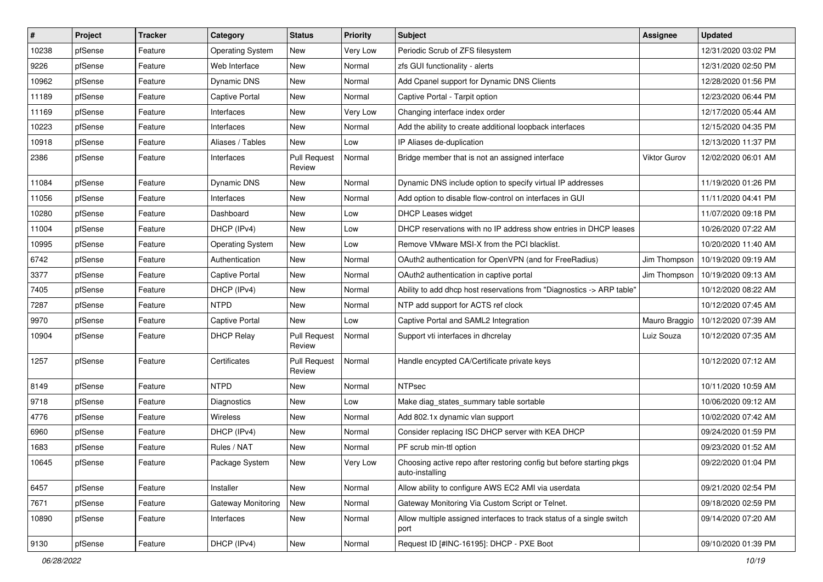| #     | Project | <b>Tracker</b> | Category                | <b>Status</b>                 | <b>Priority</b> | Subject                                                                                 | Assignee      | <b>Updated</b>      |
|-------|---------|----------------|-------------------------|-------------------------------|-----------------|-----------------------------------------------------------------------------------------|---------------|---------------------|
| 10238 | pfSense | Feature        | <b>Operating System</b> | New                           | Very Low        | Periodic Scrub of ZFS filesystem                                                        |               | 12/31/2020 03:02 PM |
| 9226  | pfSense | Feature        | Web Interface           | New                           | Normal          | zfs GUI functionality - alerts                                                          |               | 12/31/2020 02:50 PM |
| 10962 | pfSense | Feature        | <b>Dynamic DNS</b>      | New                           | Normal          | Add Cpanel support for Dynamic DNS Clients                                              |               | 12/28/2020 01:56 PM |
| 11189 | pfSense | Feature        | <b>Captive Portal</b>   | New                           | Normal          | Captive Portal - Tarpit option                                                          |               | 12/23/2020 06:44 PM |
| 11169 | pfSense | Feature        | Interfaces              | New                           | Very Low        | Changing interface index order                                                          |               | 12/17/2020 05:44 AM |
| 10223 | pfSense | Feature        | Interfaces              | New                           | Normal          | Add the ability to create additional loopback interfaces                                |               | 12/15/2020 04:35 PM |
| 10918 | pfSense | Feature        | Aliases / Tables        | New                           | Low             | IP Aliases de-duplication                                                               |               | 12/13/2020 11:37 PM |
| 2386  | pfSense | Feature        | Interfaces              | <b>Pull Request</b><br>Review | Normal          | Bridge member that is not an assigned interface                                         | Viktor Gurov  | 12/02/2020 06:01 AM |
| 11084 | pfSense | Feature        | <b>Dynamic DNS</b>      | New                           | Normal          | Dynamic DNS include option to specify virtual IP addresses                              |               | 11/19/2020 01:26 PM |
| 11056 | pfSense | Feature        | Interfaces              | New                           | Normal          | Add option to disable flow-control on interfaces in GUI                                 |               | 11/11/2020 04:41 PM |
| 10280 | pfSense | Feature        | Dashboard               | New                           | Low             | DHCP Leases widget                                                                      |               | 11/07/2020 09:18 PM |
| 11004 | pfSense | Feature        | DHCP (IPv4)             | New                           | Low             | DHCP reservations with no IP address show entries in DHCP leases                        |               | 10/26/2020 07:22 AM |
| 10995 | pfSense | Feature        | <b>Operating System</b> | New                           | Low             | Remove VMware MSI-X from the PCI blacklist.                                             |               | 10/20/2020 11:40 AM |
| 6742  | pfSense | Feature        | Authentication          | New                           | Normal          | OAuth2 authentication for OpenVPN (and for FreeRadius)                                  | Jim Thompson  | 10/19/2020 09:19 AM |
| 3377  | pfSense | Feature        | Captive Portal          | New                           | Normal          | OAuth2 authentication in captive portal                                                 | Jim Thompson  | 10/19/2020 09:13 AM |
| 7405  | pfSense | Feature        | DHCP (IPv4)             | New                           | Normal          | Ability to add dhcp host reservations from "Diagnostics -> ARP table"                   |               | 10/12/2020 08:22 AM |
| 7287  | pfSense | Feature        | <b>NTPD</b>             | New                           | Normal          | NTP add support for ACTS ref clock                                                      |               | 10/12/2020 07:45 AM |
| 9970  | pfSense | Feature        | Captive Portal          | New                           | Low             | Captive Portal and SAML2 Integration                                                    | Mauro Braggio | 10/12/2020 07:39 AM |
| 10904 | pfSense | Feature        | <b>DHCP Relay</b>       | <b>Pull Request</b><br>Review | Normal          | Support vti interfaces in dhcrelay                                                      | Luiz Souza    | 10/12/2020 07:35 AM |
| 1257  | pfSense | Feature        | Certificates            | <b>Pull Request</b><br>Review | Normal          | Handle encypted CA/Certificate private keys                                             |               | 10/12/2020 07:12 AM |
| 8149  | pfSense | Feature        | <b>NTPD</b>             | New                           | Normal          | <b>NTPsec</b>                                                                           |               | 10/11/2020 10:59 AM |
| 9718  | pfSense | Feature        | Diagnostics             | New                           | Low             | Make diag_states_summary table sortable                                                 |               | 10/06/2020 09:12 AM |
| 4776  | pfSense | Feature        | Wireless                | New                           | Normal          | Add 802.1x dynamic vlan support                                                         |               | 10/02/2020 07:42 AM |
| 6960  | pfSense | Feature        | DHCP (IPv4)             | New                           | Normal          | Consider replacing ISC DHCP server with KEA DHCP                                        |               | 09/24/2020 01:59 PM |
| 1683  | pfSense | Feature        | Rules / NAT             | New                           | Normal          | PF scrub min-ttl option                                                                 |               | 09/23/2020 01:52 AM |
| 10645 | pfSense | Feature        | Package System          | New                           | Very Low        | Choosing active repo after restoring config but before starting pkgs<br>auto-installing |               | 09/22/2020 01:04 PM |
| 6457  | pfSense | Feature        | Installer               | New                           | Normal          | Allow ability to configure AWS EC2 AMI via userdata                                     |               | 09/21/2020 02:54 PM |
| 7671  | pfSense | Feature        | Gateway Monitoring      | New                           | Normal          | Gateway Monitoring Via Custom Script or Telnet.                                         |               | 09/18/2020 02:59 PM |
| 10890 | pfSense | Feature        | Interfaces              | New                           | Normal          | Allow multiple assigned interfaces to track status of a single switch<br>port           |               | 09/14/2020 07:20 AM |
| 9130  | pfSense | Feature        | DHCP (IPv4)             | New                           | Normal          | Request ID [#INC-16195]: DHCP - PXE Boot                                                |               | 09/10/2020 01:39 PM |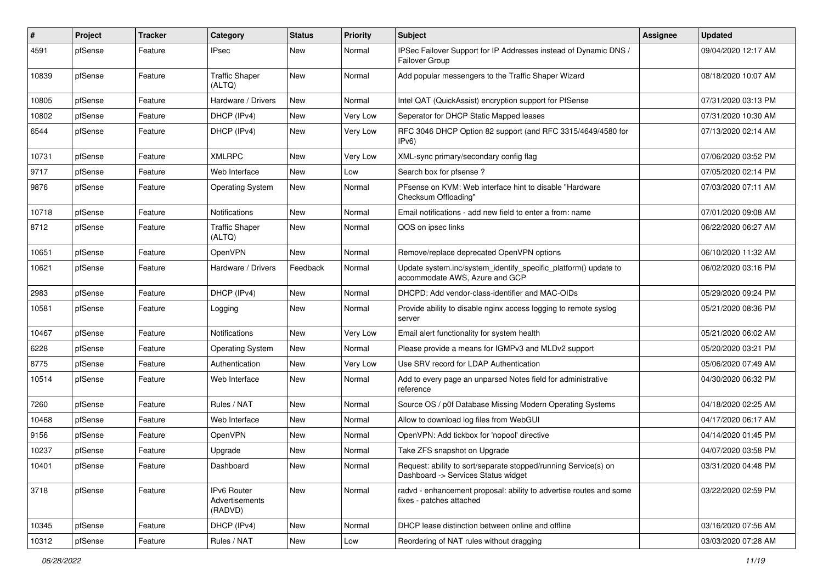| ∦     | Project | <b>Tracker</b> | Category                                 | <b>Status</b> | <b>Priority</b> | <b>Subject</b>                                                                                         | <b>Assignee</b> | <b>Updated</b>      |
|-------|---------|----------------|------------------------------------------|---------------|-----------------|--------------------------------------------------------------------------------------------------------|-----------------|---------------------|
| 4591  | pfSense | Feature        | IPsec                                    | New           | Normal          | IPSec Failover Support for IP Addresses instead of Dynamic DNS /<br>Failover Group                     |                 | 09/04/2020 12:17 AM |
| 10839 | pfSense | Feature        | <b>Traffic Shaper</b><br>(ALTQ)          | New           | Normal          | Add popular messengers to the Traffic Shaper Wizard                                                    |                 | 08/18/2020 10:07 AM |
| 10805 | pfSense | Feature        | Hardware / Drivers                       | New           | Normal          | Intel QAT (QuickAssist) encryption support for PfSense                                                 |                 | 07/31/2020 03:13 PM |
| 10802 | pfSense | Feature        | DHCP (IPv4)                              | New           | Very Low        | Seperator for DHCP Static Mapped leases                                                                |                 | 07/31/2020 10:30 AM |
| 6544  | pfSense | Feature        | DHCP (IPv4)                              | New           | Very Low        | RFC 3046 DHCP Option 82 support (and RFC 3315/4649/4580 for<br>IPv6)                                   |                 | 07/13/2020 02:14 AM |
| 10731 | pfSense | Feature        | <b>XMLRPC</b>                            | New           | Very Low        | XML-sync primary/secondary config flag                                                                 |                 | 07/06/2020 03:52 PM |
| 9717  | pfSense | Feature        | Web Interface                            | New           | Low             | Search box for pfsense?                                                                                |                 | 07/05/2020 02:14 PM |
| 9876  | pfSense | Feature        | <b>Operating System</b>                  | New           | Normal          | PFsense on KVM: Web interface hint to disable "Hardware"<br>Checksum Offloading"                       |                 | 07/03/2020 07:11 AM |
| 10718 | pfSense | Feature        | Notifications                            | New           | Normal          | Email notifications - add new field to enter a from: name                                              |                 | 07/01/2020 09:08 AM |
| 8712  | pfSense | Feature        | <b>Traffic Shaper</b><br>(ALTQ)          | New           | Normal          | QOS on ipsec links                                                                                     |                 | 06/22/2020 06:27 AM |
| 10651 | pfSense | Feature        | OpenVPN                                  | <b>New</b>    | Normal          | Remove/replace deprecated OpenVPN options                                                              |                 | 06/10/2020 11:32 AM |
| 10621 | pfSense | Feature        | Hardware / Drivers                       | Feedback      | Normal          | Update system.inc/system_identify_specific_platform() update to<br>accommodate AWS, Azure and GCP      |                 | 06/02/2020 03:16 PM |
| 2983  | pfSense | Feature        | DHCP (IPv4)                              | New           | Normal          | DHCPD: Add vendor-class-identifier and MAC-OIDs                                                        |                 | 05/29/2020 09:24 PM |
| 10581 | pfSense | Feature        | Logging                                  | New           | Normal          | Provide ability to disable nginx access logging to remote syslog<br>server                             |                 | 05/21/2020 08:36 PM |
| 10467 | pfSense | Feature        | Notifications                            | New           | Very Low        | Email alert functionality for system health                                                            |                 | 05/21/2020 06:02 AM |
| 6228  | pfSense | Feature        | <b>Operating System</b>                  | New           | Normal          | Please provide a means for IGMPv3 and MLDv2 support                                                    |                 | 05/20/2020 03:21 PM |
| 8775  | pfSense | Feature        | Authentication                           | New           | Very Low        | Use SRV record for LDAP Authentication                                                                 |                 | 05/06/2020 07:49 AM |
| 10514 | pfSense | Feature        | Web Interface                            | New           | Normal          | Add to every page an unparsed Notes field for administrative<br>reference                              |                 | 04/30/2020 06:32 PM |
| 7260  | pfSense | Feature        | Rules / NAT                              | New           | Normal          | Source OS / p0f Database Missing Modern Operating Systems                                              |                 | 04/18/2020 02:25 AM |
| 10468 | pfSense | Feature        | Web Interface                            | New           | Normal          | Allow to download log files from WebGUI                                                                |                 | 04/17/2020 06:17 AM |
| 9156  | pfSense | Feature        | OpenVPN                                  | New           | Normal          | OpenVPN: Add tickbox for 'nopool' directive                                                            |                 | 04/14/2020 01:45 PM |
| 10237 | pfSense | Feature        | Upgrade                                  | New           | Normal          | Take ZFS snapshot on Upgrade                                                                           |                 | 04/07/2020 03:58 PM |
| 10401 | pfSense | Feature        | Dashboard                                | New           | Normal          | Request: ability to sort/separate stopped/running Service(s) on<br>Dashboard -> Services Status widget |                 | 03/31/2020 04:48 PM |
| 3718  | pfSense | Feature        | IPv6 Router<br>Advertisements<br>(RADVD) | New           | Normal          | radvd - enhancement proposal: ability to advertise routes and some<br>fixes - patches attached         |                 | 03/22/2020 02:59 PM |
| 10345 | pfSense | Feature        | DHCP (IPv4)                              | New           | Normal          | DHCP lease distinction between online and offline                                                      |                 | 03/16/2020 07:56 AM |
| 10312 | pfSense | Feature        | Rules / NAT                              | New           | Low             | Reordering of NAT rules without dragging                                                               |                 | 03/03/2020 07:28 AM |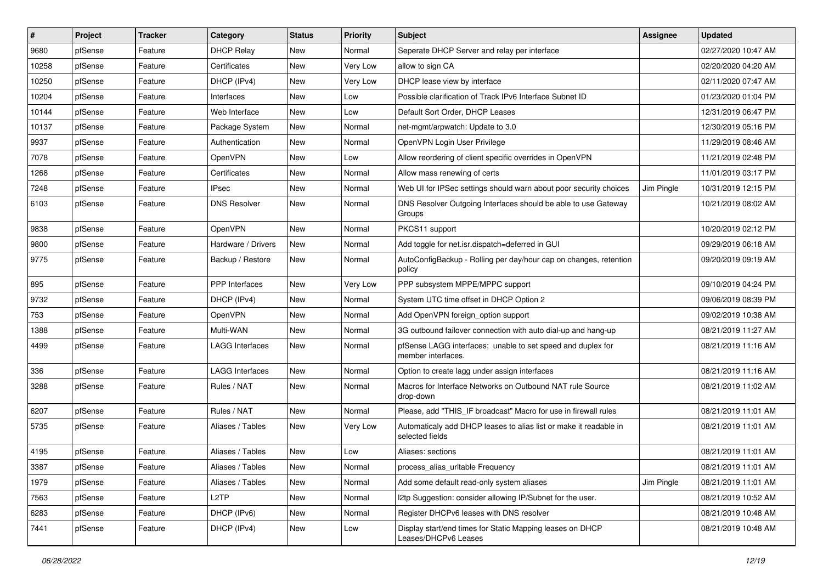| #     | Project | <b>Tracker</b> | Category            | <b>Status</b> | <b>Priority</b> | Subject                                                                              | <b>Assignee</b> | <b>Updated</b>      |
|-------|---------|----------------|---------------------|---------------|-----------------|--------------------------------------------------------------------------------------|-----------------|---------------------|
| 9680  | pfSense | Feature        | <b>DHCP Relay</b>   | New           | Normal          | Seperate DHCP Server and relay per interface                                         |                 | 02/27/2020 10:47 AM |
| 10258 | pfSense | Feature        | Certificates        | New           | Very Low        | allow to sign CA                                                                     |                 | 02/20/2020 04:20 AM |
| 10250 | pfSense | Feature        | DHCP (IPv4)         | New           | Very Low        | DHCP lease view by interface                                                         |                 | 02/11/2020 07:47 AM |
| 10204 | pfSense | Feature        | Interfaces          | New           | Low             | Possible clarification of Track IPv6 Interface Subnet ID                             |                 | 01/23/2020 01:04 PM |
| 10144 | pfSense | Feature        | Web Interface       | <b>New</b>    | Low             | Default Sort Order, DHCP Leases                                                      |                 | 12/31/2019 06:47 PM |
| 10137 | pfSense | Feature        | Package System      | New           | Normal          | net-mgmt/arpwatch: Update to 3.0                                                     |                 | 12/30/2019 05:16 PM |
| 9937  | pfSense | Feature        | Authentication      | New           | Normal          | OpenVPN Login User Privilege                                                         |                 | 11/29/2019 08:46 AM |
| 7078  | pfSense | Feature        | OpenVPN             | New           | Low             | Allow reordering of client specific overrides in OpenVPN                             |                 | 11/21/2019 02:48 PM |
| 1268  | pfSense | Feature        | Certificates        | <b>New</b>    | Normal          | Allow mass renewing of certs                                                         |                 | 11/01/2019 03:17 PM |
| 7248  | pfSense | Feature        | <b>IPsec</b>        | New           | Normal          | Web UI for IPSec settings should warn about poor security choices                    | Jim Pingle      | 10/31/2019 12:15 PM |
| 6103  | pfSense | Feature        | <b>DNS Resolver</b> | <b>New</b>    | Normal          | DNS Resolver Outgoing Interfaces should be able to use Gateway<br>Groups             |                 | 10/21/2019 08:02 AM |
| 9838  | pfSense | Feature        | OpenVPN             | <b>New</b>    | Normal          | PKCS11 support                                                                       |                 | 10/20/2019 02:12 PM |
| 9800  | pfSense | Feature        | Hardware / Drivers  | New           | Normal          | Add toggle for net.isr.dispatch=deferred in GUI                                      |                 | 09/29/2019 06:18 AM |
| 9775  | pfSense | Feature        | Backup / Restore    | New           | Normal          | AutoConfigBackup - Rolling per day/hour cap on changes, retention<br>policy          |                 | 09/20/2019 09:19 AM |
| 895   | pfSense | Feature        | PPP Interfaces      | <b>New</b>    | Very Low        | PPP subsystem MPPE/MPPC support                                                      |                 | 09/10/2019 04:24 PM |
| 9732  | pfSense | Feature        | DHCP (IPv4)         | New           | Normal          | System UTC time offset in DHCP Option 2                                              |                 | 09/06/2019 08:39 PM |
| 753   | pfSense | Feature        | OpenVPN             | New           | Normal          | Add OpenVPN foreign option support                                                   |                 | 09/02/2019 10:38 AM |
| 1388  | pfSense | Feature        | Multi-WAN           | New           | Normal          | 3G outbound failover connection with auto dial-up and hang-up                        |                 | 08/21/2019 11:27 AM |
| 4499  | pfSense | Feature        | LAGG Interfaces     | New           | Normal          | pfSense LAGG interfaces; unable to set speed and duplex for<br>member interfaces.    |                 | 08/21/2019 11:16 AM |
| 336   | pfSense | Feature        | LAGG Interfaces     | <b>New</b>    | Normal          | Option to create lagg under assign interfaces                                        |                 | 08/21/2019 11:16 AM |
| 3288  | pfSense | Feature        | Rules / NAT         | New           | Normal          | Macros for Interface Networks on Outbound NAT rule Source<br>drop-down               |                 | 08/21/2019 11:02 AM |
| 6207  | pfSense | Feature        | Rules / NAT         | <b>New</b>    | Normal          | Please, add "THIS_IF broadcast" Macro for use in firewall rules                      |                 | 08/21/2019 11:01 AM |
| 5735  | pfSense | Feature        | Aliases / Tables    | <b>New</b>    | Very Low        | Automaticaly add DHCP leases to alias list or make it readable in<br>selected fields |                 | 08/21/2019 11:01 AM |
| 4195  | pfSense | Feature        | Aliases / Tables    | <b>New</b>    | Low             | Aliases: sections                                                                    |                 | 08/21/2019 11:01 AM |
| 3387  | pfSense | Feature        | Aliases / Tables    | New           | Normal          | process_alias_urItable Frequency                                                     |                 | 08/21/2019 11:01 AM |
| 1979  | pfSense | Feature        | Aliases / Tables    | New           | Normal          | Add some default read-only system aliases                                            | Jim Pingle      | 08/21/2019 11:01 AM |
| 7563  | pfSense | Feature        | L <sub>2</sub> TP   | New           | Normal          | I2tp Suggestion: consider allowing IP/Subnet for the user.                           |                 | 08/21/2019 10:52 AM |
| 6283  | pfSense | Feature        | DHCP (IPv6)         | New           | Normal          | Register DHCPv6 leases with DNS resolver                                             |                 | 08/21/2019 10:48 AM |
| 7441  | pfSense | Feature        | DHCP (IPv4)         | New           | Low             | Display start/end times for Static Mapping leases on DHCP<br>Leases/DHCPv6 Leases    |                 | 08/21/2019 10:48 AM |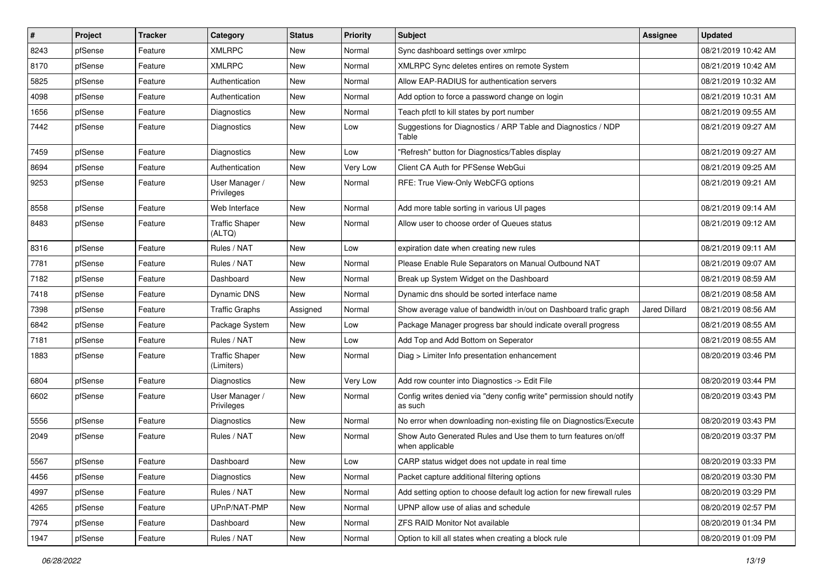| $\pmb{\#}$ | Project | <b>Tracker</b> | Category                            | <b>Status</b> | <b>Priority</b> | Subject                                                                           | <b>Assignee</b>      | <b>Updated</b>      |
|------------|---------|----------------|-------------------------------------|---------------|-----------------|-----------------------------------------------------------------------------------|----------------------|---------------------|
| 8243       | pfSense | Feature        | <b>XMLRPC</b>                       | New           | Normal          | Sync dashboard settings over xmlrpc                                               |                      | 08/21/2019 10:42 AM |
| 8170       | pfSense | Feature        | <b>XMLRPC</b>                       | <b>New</b>    | Normal          | XMLRPC Sync deletes entires on remote System                                      |                      | 08/21/2019 10:42 AM |
| 5825       | pfSense | Feature        | Authentication                      | <b>New</b>    | Normal          | Allow EAP-RADIUS for authentication servers                                       |                      | 08/21/2019 10:32 AM |
| 4098       | pfSense | Feature        | Authentication                      | New           | Normal          | Add option to force a password change on login                                    |                      | 08/21/2019 10:31 AM |
| 1656       | pfSense | Feature        | Diagnostics                         | <b>New</b>    | Normal          | Teach pfctl to kill states by port number                                         |                      | 08/21/2019 09:55 AM |
| 7442       | pfSense | Feature        | Diagnostics                         | New           | Low             | Suggestions for Diagnostics / ARP Table and Diagnostics / NDP<br>Table            |                      | 08/21/2019 09:27 AM |
| 7459       | pfSense | Feature        | Diagnostics                         | <b>New</b>    | Low             | "Refresh" button for Diagnostics/Tables display                                   |                      | 08/21/2019 09:27 AM |
| 8694       | pfSense | Feature        | Authentication                      | New           | Very Low        | Client CA Auth for PFSense WebGui                                                 |                      | 08/21/2019 09:25 AM |
| 9253       | pfSense | Feature        | User Manager /<br>Privileges        | New           | Normal          | RFE: True View-Only WebCFG options                                                |                      | 08/21/2019 09:21 AM |
| 8558       | pfSense | Feature        | Web Interface                       | <b>New</b>    | Normal          | Add more table sorting in various UI pages                                        |                      | 08/21/2019 09:14 AM |
| 8483       | pfSense | Feature        | <b>Traffic Shaper</b><br>(ALTQ)     | <b>New</b>    | Normal          | Allow user to choose order of Queues status                                       |                      | 08/21/2019 09:12 AM |
| 8316       | pfSense | Feature        | Rules / NAT                         | New           | Low             | expiration date when creating new rules                                           |                      | 08/21/2019 09:11 AM |
| 7781       | pfSense | Feature        | Rules / NAT                         | New           | Normal          | Please Enable Rule Separators on Manual Outbound NAT                              |                      | 08/21/2019 09:07 AM |
| 7182       | pfSense | Feature        | Dashboard                           | New           | Normal          | Break up System Widget on the Dashboard                                           |                      | 08/21/2019 08:59 AM |
| 7418       | pfSense | Feature        | Dynamic DNS                         | New           | Normal          | Dynamic dns should be sorted interface name                                       |                      | 08/21/2019 08:58 AM |
| 7398       | pfSense | Feature        | <b>Traffic Graphs</b>               | Assigned      | Normal          | Show average value of bandwidth in/out on Dashboard trafic graph                  | <b>Jared Dillard</b> | 08/21/2019 08:56 AM |
| 6842       | pfSense | Feature        | Package System                      | New           | Low             | Package Manager progress bar should indicate overall progress                     |                      | 08/21/2019 08:55 AM |
| 7181       | pfSense | Feature        | Rules / NAT                         | <b>New</b>    | Low             | Add Top and Add Bottom on Seperator                                               |                      | 08/21/2019 08:55 AM |
| 1883       | pfSense | Feature        | <b>Traffic Shaper</b><br>(Limiters) | New           | Normal          | Diag > Limiter Info presentation enhancement                                      |                      | 08/20/2019 03:46 PM |
| 6804       | pfSense | Feature        | Diagnostics                         | <b>New</b>    | Very Low        | Add row counter into Diagnostics -> Edit File                                     |                      | 08/20/2019 03:44 PM |
| 6602       | pfSense | Feature        | User Manager /<br>Privileges        | New           | Normal          | Config writes denied via "deny config write" permission should notify<br>as such  |                      | 08/20/2019 03:43 PM |
| 5556       | pfSense | Feature        | <b>Diagnostics</b>                  | New           | Normal          | No error when downloading non-existing file on Diagnostics/Execute                |                      | 08/20/2019 03:43 PM |
| 2049       | pfSense | Feature        | Rules / NAT                         | New           | Normal          | Show Auto Generated Rules and Use them to turn features on/off<br>when applicable |                      | 08/20/2019 03:37 PM |
| 5567       | pfSense | Feature        | Dashboard                           | New           | Low             | CARP status widget does not update in real time                                   |                      | 08/20/2019 03:33 PM |
| 4456       | pfSense | Feature        | Diagnostics                         | New           | Normal          | Packet capture additional filtering options                                       |                      | 08/20/2019 03:30 PM |
| 4997       | pfSense | Feature        | Rules / NAT                         | New           | Normal          | Add setting option to choose default log action for new firewall rules            |                      | 08/20/2019 03:29 PM |
| 4265       | pfSense | Feature        | UPnP/NAT-PMP                        | New           | Normal          | UPNP allow use of alias and schedule                                              |                      | 08/20/2019 02:57 PM |
| 7974       | pfSense | Feature        | Dashboard                           | New           | Normal          | ZFS RAID Monitor Not available                                                    |                      | 08/20/2019 01:34 PM |
| 1947       | pfSense | Feature        | Rules / NAT                         | New           | Normal          | Option to kill all states when creating a block rule                              |                      | 08/20/2019 01:09 PM |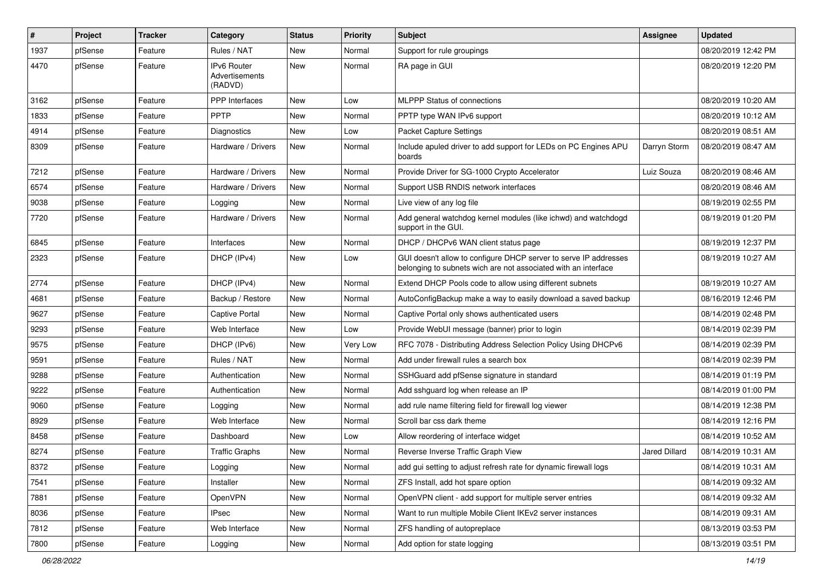| $\sharp$ | Project | <b>Tracker</b> | Category                                 | <b>Status</b> | <b>Priority</b> | <b>Subject</b>                                                                                                                     | <b>Assignee</b>      | <b>Updated</b>      |
|----------|---------|----------------|------------------------------------------|---------------|-----------------|------------------------------------------------------------------------------------------------------------------------------------|----------------------|---------------------|
| 1937     | pfSense | Feature        | Rules / NAT                              | New           | Normal          | Support for rule groupings                                                                                                         |                      | 08/20/2019 12:42 PM |
| 4470     | pfSense | Feature        | IPv6 Router<br>Advertisements<br>(RADVD) | New           | Normal          | RA page in GUI                                                                                                                     |                      | 08/20/2019 12:20 PM |
| 3162     | pfSense | Feature        | PPP Interfaces                           | New           | Low             | MLPPP Status of connections                                                                                                        |                      | 08/20/2019 10:20 AM |
| 1833     | pfSense | Feature        | <b>PPTP</b>                              | New           | Normal          | PPTP type WAN IPv6 support                                                                                                         |                      | 08/20/2019 10:12 AM |
| 4914     | pfSense | Feature        | Diagnostics                              | New           | Low             | Packet Capture Settings                                                                                                            |                      | 08/20/2019 08:51 AM |
| 8309     | pfSense | Feature        | Hardware / Drivers                       | New           | Normal          | Include apuled driver to add support for LEDs on PC Engines APU<br>boards                                                          | Darryn Storm         | 08/20/2019 08:47 AM |
| 7212     | pfSense | Feature        | Hardware / Drivers                       | New           | Normal          | Provide Driver for SG-1000 Crypto Accelerator                                                                                      | Luiz Souza           | 08/20/2019 08:46 AM |
| 6574     | pfSense | Feature        | Hardware / Drivers                       | New           | Normal          | Support USB RNDIS network interfaces                                                                                               |                      | 08/20/2019 08:46 AM |
| 9038     | pfSense | Feature        | Logging                                  | New           | Normal          | Live view of any log file                                                                                                          |                      | 08/19/2019 02:55 PM |
| 7720     | pfSense | Feature        | Hardware / Drivers                       | New           | Normal          | Add general watchdog kernel modules (like ichwd) and watchdogd<br>support in the GUI.                                              |                      | 08/19/2019 01:20 PM |
| 6845     | pfSense | Feature        | Interfaces                               | New           | Normal          | DHCP / DHCPv6 WAN client status page                                                                                               |                      | 08/19/2019 12:37 PM |
| 2323     | pfSense | Feature        | DHCP (IPv4)                              | New           | Low             | GUI doesn't allow to configure DHCP server to serve IP addresses<br>belonging to subnets wich are not associated with an interface |                      | 08/19/2019 10:27 AM |
| 2774     | pfSense | Feature        | DHCP (IPv4)                              | New           | Normal          | Extend DHCP Pools code to allow using different subnets                                                                            |                      | 08/19/2019 10:27 AM |
| 4681     | pfSense | Feature        | Backup / Restore                         | New           | Normal          | AutoConfigBackup make a way to easily download a saved backup                                                                      |                      | 08/16/2019 12:46 PM |
| 9627     | pfSense | Feature        | Captive Portal                           | New           | Normal          | Captive Portal only shows authenticated users                                                                                      |                      | 08/14/2019 02:48 PM |
| 9293     | pfSense | Feature        | Web Interface                            | <b>New</b>    | Low             | Provide WebUI message (banner) prior to login                                                                                      |                      | 08/14/2019 02:39 PM |
| 9575     | pfSense | Feature        | DHCP (IPv6)                              | New           | Very Low        | RFC 7078 - Distributing Address Selection Policy Using DHCPv6                                                                      |                      | 08/14/2019 02:39 PM |
| 9591     | pfSense | Feature        | Rules / NAT                              | New           | Normal          | Add under firewall rules a search box                                                                                              |                      | 08/14/2019 02:39 PM |
| 9288     | pfSense | Feature        | Authentication                           | New           | Normal          | SSHGuard add pfSense signature in standard                                                                                         |                      | 08/14/2019 01:19 PM |
| 9222     | pfSense | Feature        | Authentication                           | New           | Normal          | Add sshguard log when release an IP                                                                                                |                      | 08/14/2019 01:00 PM |
| 9060     | pfSense | Feature        | Logging                                  | New           | Normal          | add rule name filtering field for firewall log viewer                                                                              |                      | 08/14/2019 12:38 PM |
| 8929     | pfSense | Feature        | Web Interface                            | New           | Normal          | Scroll bar css dark theme                                                                                                          |                      | 08/14/2019 12:16 PM |
| 8458     | pfSense | Feature        | Dashboard                                | New           | Low             | Allow reordering of interface widget                                                                                               |                      | 08/14/2019 10:52 AM |
| 8274     | pfSense | Feature        | <b>Traffic Graphs</b>                    | New           | Normal          | Reverse Inverse Traffic Graph View                                                                                                 | <b>Jared Dillard</b> | 08/14/2019 10:31 AM |
| 8372     | ptSense | Feature        | Logging                                  | New           | Normal          | add gui setting to adjust refresh rate for dynamic firewall logs                                                                   |                      | 08/14/2019 10:31 AM |
| 7541     | pfSense | Feature        | Installer                                | <b>New</b>    | Normal          | ZFS Install, add hot spare option                                                                                                  |                      | 08/14/2019 09:32 AM |
| 7881     | pfSense | Feature        | OpenVPN                                  | New           | Normal          | OpenVPN client - add support for multiple server entries                                                                           |                      | 08/14/2019 09:32 AM |
| 8036     | pfSense | Feature        | <b>IPsec</b>                             | New           | Normal          | Want to run multiple Mobile Client IKEv2 server instances                                                                          |                      | 08/14/2019 09:31 AM |
| 7812     | pfSense | Feature        | Web Interface                            | New           | Normal          | ZFS handling of autopreplace                                                                                                       |                      | 08/13/2019 03:53 PM |
| 7800     | pfSense | Feature        | Logging                                  | New           | Normal          | Add option for state logging                                                                                                       |                      | 08/13/2019 03:51 PM |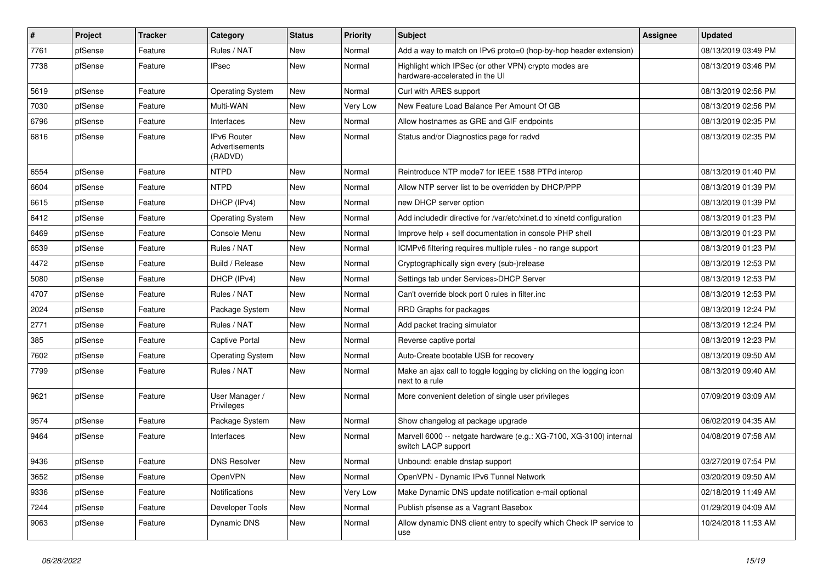| $\vert$ # | Project | <b>Tracker</b> | Category                                 | <b>Status</b> | Priority | Subject                                                                                   | <b>Assignee</b> | <b>Updated</b>      |
|-----------|---------|----------------|------------------------------------------|---------------|----------|-------------------------------------------------------------------------------------------|-----------------|---------------------|
| 7761      | pfSense | Feature        | Rules / NAT                              | New           | Normal   | Add a way to match on IPv6 proto=0 (hop-by-hop header extension)                          |                 | 08/13/2019 03:49 PM |
| 7738      | pfSense | Feature        | <b>IPsec</b>                             | New           | Normal   | Highlight which IPSec (or other VPN) crypto modes are<br>hardware-accelerated in the UI   |                 | 08/13/2019 03:46 PM |
| 5619      | pfSense | Feature        | <b>Operating System</b>                  | New           | Normal   | Curl with ARES support                                                                    |                 | 08/13/2019 02:56 PM |
| 7030      | pfSense | Feature        | Multi-WAN                                | New           | Very Low | New Feature Load Balance Per Amount Of GB                                                 |                 | 08/13/2019 02:56 PM |
| 6796      | pfSense | Feature        | Interfaces                               | New           | Normal   | Allow hostnames as GRE and GIF endpoints                                                  |                 | 08/13/2019 02:35 PM |
| 6816      | pfSense | Feature        | IPv6 Router<br>Advertisements<br>(RADVD) | New           | Normal   | Status and/or Diagnostics page for radvd                                                  |                 | 08/13/2019 02:35 PM |
| 6554      | pfSense | Feature        | <b>NTPD</b>                              | New           | Normal   | Reintroduce NTP mode7 for IEEE 1588 PTPd interop                                          |                 | 08/13/2019 01:40 PM |
| 6604      | pfSense | Feature        | <b>NTPD</b>                              | New           | Normal   | Allow NTP server list to be overridden by DHCP/PPP                                        |                 | 08/13/2019 01:39 PM |
| 6615      | pfSense | Feature        | DHCP (IPv4)                              | New           | Normal   | new DHCP server option                                                                    |                 | 08/13/2019 01:39 PM |
| 6412      | pfSense | Feature        | <b>Operating System</b>                  | New           | Normal   | Add includedir directive for /var/etc/xinet.d to xinetd configuration                     |                 | 08/13/2019 01:23 PM |
| 6469      | pfSense | Feature        | Console Menu                             | New           | Normal   | Improve help + self documentation in console PHP shell                                    |                 | 08/13/2019 01:23 PM |
| 6539      | pfSense | Feature        | Rules / NAT                              | New           | Normal   | ICMPv6 filtering requires multiple rules - no range support                               |                 | 08/13/2019 01:23 PM |
| 4472      | pfSense | Feature        | Build / Release                          | New           | Normal   | Cryptographically sign every (sub-)release                                                |                 | 08/13/2019 12:53 PM |
| 5080      | pfSense | Feature        | DHCP (IPv4)                              | New           | Normal   | Settings tab under Services>DHCP Server                                                   |                 | 08/13/2019 12:53 PM |
| 4707      | pfSense | Feature        | Rules / NAT                              | New           | Normal   | Can't override block port 0 rules in filter.inc                                           |                 | 08/13/2019 12:53 PM |
| 2024      | pfSense | Feature        | Package System                           | New           | Normal   | RRD Graphs for packages                                                                   |                 | 08/13/2019 12:24 PM |
| 2771      | pfSense | Feature        | Rules / NAT                              | New           | Normal   | Add packet tracing simulator                                                              |                 | 08/13/2019 12:24 PM |
| 385       | pfSense | Feature        | Captive Portal                           | New           | Normal   | Reverse captive portal                                                                    |                 | 08/13/2019 12:23 PM |
| 7602      | pfSense | Feature        | <b>Operating System</b>                  | New           | Normal   | Auto-Create bootable USB for recovery                                                     |                 | 08/13/2019 09:50 AM |
| 7799      | pfSense | Feature        | Rules / NAT                              | New           | Normal   | Make an ajax call to toggle logging by clicking on the logging icon<br>next to a rule     |                 | 08/13/2019 09:40 AM |
| 9621      | pfSense | Feature        | User Manager /<br>Privileges             | New           | Normal   | More convenient deletion of single user privileges                                        |                 | 07/09/2019 03:09 AM |
| 9574      | pfSense | Feature        | Package System                           | New           | Normal   | Show changelog at package upgrade                                                         |                 | 06/02/2019 04:35 AM |
| 9464      | pfSense | Feature        | Interfaces                               | New           | Normal   | Marvell 6000 -- netgate hardware (e.g.: XG-7100, XG-3100) internal<br>switch LACP support |                 | 04/08/2019 07:58 AM |
| 9436      | pfSense | Feature        | <b>DNS Resolver</b>                      | New           | Normal   | Unbound: enable dnstap support                                                            |                 | 03/27/2019 07:54 PM |
| 3652      | pfSense | Feature        | OpenVPN                                  | New           | Normal   | OpenVPN - Dynamic IPv6 Tunnel Network                                                     |                 | 03/20/2019 09:50 AM |
| 9336      | pfSense | Feature        | Notifications                            | New           | Very Low | Make Dynamic DNS update notification e-mail optional                                      |                 | 02/18/2019 11:49 AM |
| 7244      | pfSense | Feature        | Developer Tools                          | New           | Normal   | Publish pfsense as a Vagrant Basebox                                                      |                 | 01/29/2019 04:09 AM |
| 9063      | pfSense | Feature        | Dynamic DNS                              | New           | Normal   | Allow dynamic DNS client entry to specify which Check IP service to<br>use                |                 | 10/24/2018 11:53 AM |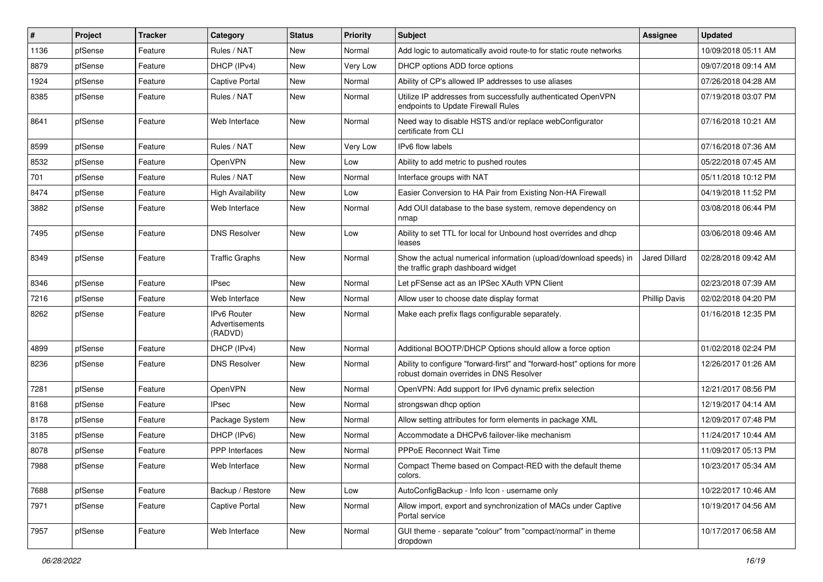| #    | Project | <b>Tracker</b> | Category                                 | <b>Status</b> | <b>Priority</b> | <b>Subject</b>                                                                                                      | Assignee             | <b>Updated</b>      |
|------|---------|----------------|------------------------------------------|---------------|-----------------|---------------------------------------------------------------------------------------------------------------------|----------------------|---------------------|
| 1136 | pfSense | Feature        | Rules / NAT                              | New           | Normal          | Add logic to automatically avoid route-to for static route networks                                                 |                      | 10/09/2018 05:11 AM |
| 8879 | pfSense | Feature        | DHCP (IPv4)                              | New           | Very Low        | DHCP options ADD force options                                                                                      |                      | 09/07/2018 09:14 AM |
| 1924 | pfSense | Feature        | Captive Portal                           | New           | Normal          | Ability of CP's allowed IP addresses to use aliases                                                                 |                      | 07/26/2018 04:28 AM |
| 8385 | pfSense | Feature        | Rules / NAT                              | New           | Normal          | Utilize IP addresses from successfully authenticated OpenVPN<br>endpoints to Update Firewall Rules                  |                      | 07/19/2018 03:07 PM |
| 8641 | pfSense | Feature        | Web Interface                            | <b>New</b>    | Normal          | Need way to disable HSTS and/or replace webConfigurator<br>certificate from CLI                                     |                      | 07/16/2018 10:21 AM |
| 8599 | pfSense | Feature        | Rules / NAT                              | <b>New</b>    | Very Low        | IPv6 flow labels                                                                                                    |                      | 07/16/2018 07:36 AM |
| 8532 | pfSense | Feature        | OpenVPN                                  | New           | Low             | Ability to add metric to pushed routes                                                                              |                      | 05/22/2018 07:45 AM |
| 701  | pfSense | Feature        | Rules / NAT                              | <b>New</b>    | Normal          | Interface groups with NAT                                                                                           |                      | 05/11/2018 10:12 PM |
| 8474 | pfSense | Feature        | <b>High Availability</b>                 | New           | Low             | Easier Conversion to HA Pair from Existing Non-HA Firewall                                                          |                      | 04/19/2018 11:52 PM |
| 3882 | pfSense | Feature        | Web Interface                            | New           | Normal          | Add OUI database to the base system, remove dependency on<br>nmap                                                   |                      | 03/08/2018 06:44 PM |
| 7495 | pfSense | Feature        | <b>DNS Resolver</b>                      | <b>New</b>    | Low             | Ability to set TTL for local for Unbound host overrides and dhcp<br>leases                                          |                      | 03/06/2018 09:46 AM |
| 8349 | pfSense | Feature        | <b>Traffic Graphs</b>                    | <b>New</b>    | Normal          | Show the actual numerical information (upload/download speeds) in<br>the traffic graph dashboard widget             | Jared Dillard        | 02/28/2018 09:42 AM |
| 8346 | pfSense | Feature        | <b>IPsec</b>                             | New           | Normal          | Let pFSense act as an IPSec XAuth VPN Client                                                                        |                      | 02/23/2018 07:39 AM |
| 7216 | pfSense | Feature        | Web Interface                            | New           | Normal          | Allow user to choose date display format                                                                            | <b>Phillip Davis</b> | 02/02/2018 04:20 PM |
| 8262 | pfSense | Feature        | IPv6 Router<br>Advertisements<br>(RADVD) | <b>New</b>    | Normal          | Make each prefix flags configurable separately.                                                                     |                      | 01/16/2018 12:35 PM |
| 4899 | pfSense | Feature        | DHCP (IPv4)                              | <b>New</b>    | Normal          | Additional BOOTP/DHCP Options should allow a force option                                                           |                      | 01/02/2018 02:24 PM |
| 8236 | pfSense | Feature        | <b>DNS Resolver</b>                      | <b>New</b>    | Normal          | Ability to configure "forward-first" and "forward-host" options for more<br>robust domain overrides in DNS Resolver |                      | 12/26/2017 01:26 AM |
| 7281 | pfSense | Feature        | OpenVPN                                  | New           | Normal          | OpenVPN: Add support for IPv6 dynamic prefix selection                                                              |                      | 12/21/2017 08:56 PM |
| 8168 | pfSense | Feature        | <b>IPsec</b>                             | <b>New</b>    | Normal          | strongswan dhcp option                                                                                              |                      | 12/19/2017 04:14 AM |
| 8178 | pfSense | Feature        | Package System                           | New           | Normal          | Allow setting attributes for form elements in package XML                                                           |                      | 12/09/2017 07:48 PM |
| 3185 | pfSense | Feature        | DHCP (IPv6)                              | <b>New</b>    | Normal          | Accommodate a DHCPv6 failover-like mechanism                                                                        |                      | 11/24/2017 10:44 AM |
| 8078 | pfSense | Feature        | PPP Interfaces                           | New           | Normal          | <b>PPPoE Reconnect Wait Time</b>                                                                                    |                      | 11/09/2017 05:13 PM |
| 7988 | pfSense | Feature        | Web Interface                            | New           | Normal          | Compact Theme based on Compact-RED with the default theme<br>colors.                                                |                      | 10/23/2017 05:34 AM |
| 7688 | pfSense | Feature        | Backup / Restore                         | New           | Low             | AutoConfigBackup - Info Icon - username only                                                                        |                      | 10/22/2017 10:46 AM |
| 7971 | pfSense | Feature        | Captive Portal                           | New           | Normal          | Allow import, export and synchronization of MACs under Captive<br>Portal service                                    |                      | 10/19/2017 04:56 AM |
| 7957 | pfSense | Feature        | Web Interface                            | New           | Normal          | GUI theme - separate "colour" from "compact/normal" in theme<br>dropdown                                            |                      | 10/17/2017 06:58 AM |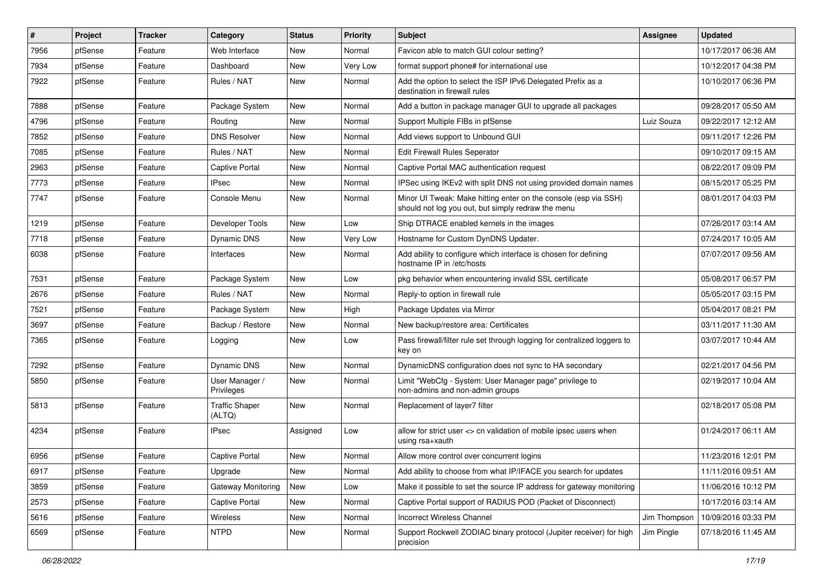| #    | Project | <b>Tracker</b> | Category                        | <b>Status</b> | <b>Priority</b> | Subject                                                                                                               | <b>Assignee</b> | <b>Updated</b>      |
|------|---------|----------------|---------------------------------|---------------|-----------------|-----------------------------------------------------------------------------------------------------------------------|-----------------|---------------------|
| 7956 | pfSense | Feature        | Web Interface                   | New           | Normal          | Favicon able to match GUI colour setting?                                                                             |                 | 10/17/2017 06:36 AM |
| 7934 | pfSense | Feature        | Dashboard                       | New           | Very Low        | format support phone# for international use                                                                           |                 | 10/12/2017 04:38 PM |
| 7922 | pfSense | Feature        | Rules / NAT                     | New           | Normal          | Add the option to select the ISP IPv6 Delegated Prefix as a<br>destination in firewall rules                          |                 | 10/10/2017 06:36 PM |
| 7888 | pfSense | Feature        | Package System                  | New           | Normal          | Add a button in package manager GUI to upgrade all packages                                                           |                 | 09/28/2017 05:50 AM |
| 4796 | pfSense | Feature        | Routing                         | New           | Normal          | Support Multiple FIBs in pfSense                                                                                      | Luiz Souza      | 09/22/2017 12:12 AM |
| 7852 | pfSense | Feature        | <b>DNS Resolver</b>             | New           | Normal          | Add views support to Unbound GUI                                                                                      |                 | 09/11/2017 12:26 PM |
| 7085 | pfSense | Feature        | Rules / NAT                     | New           | Normal          | Edit Firewall Rules Seperator                                                                                         |                 | 09/10/2017 09:15 AM |
| 2963 | pfSense | Feature        | Captive Portal                  | New           | Normal          | Captive Portal MAC authentication request                                                                             |                 | 08/22/2017 09:09 PM |
| 7773 | pfSense | Feature        | <b>IPsec</b>                    | New           | Normal          | IPSec using IKEv2 with split DNS not using provided domain names                                                      |                 | 08/15/2017 05:25 PM |
| 7747 | pfSense | Feature        | Console Menu                    | New           | Normal          | Minor UI Tweak: Make hitting enter on the console (esp via SSH)<br>should not log you out, but simply redraw the menu |                 | 08/01/2017 04:03 PM |
| 1219 | pfSense | Feature        | Developer Tools                 | New           | Low             | Ship DTRACE enabled kernels in the images                                                                             |                 | 07/26/2017 03:14 AM |
| 7718 | pfSense | Feature        | Dynamic DNS                     | New           | Very Low        | Hostname for Custom DynDNS Updater.                                                                                   |                 | 07/24/2017 10:05 AM |
| 6038 | pfSense | Feature        | Interfaces                      | New           | Normal          | Add ability to configure which interface is chosen for defining<br>hostname IP in /etc/hosts                          |                 | 07/07/2017 09:56 AM |
| 7531 | pfSense | Feature        | Package System                  | New           | Low             | pkg behavior when encountering invalid SSL certificate                                                                |                 | 05/08/2017 06:57 PM |
| 2676 | pfSense | Feature        | Rules / NAT                     | New           | Normal          | Reply-to option in firewall rule                                                                                      |                 | 05/05/2017 03:15 PM |
| 7521 | pfSense | Feature        | Package System                  | New           | High            | Package Updates via Mirror                                                                                            |                 | 05/04/2017 08:21 PM |
| 3697 | pfSense | Feature        | Backup / Restore                | New           | Normal          | New backup/restore area: Certificates                                                                                 |                 | 03/11/2017 11:30 AM |
| 7365 | pfSense | Feature        | Logging                         | New           | Low             | Pass firewall/filter rule set through logging for centralized loggers to<br>key on                                    |                 | 03/07/2017 10:44 AM |
| 7292 | pfSense | Feature        | Dynamic DNS                     | New           | Normal          | DynamicDNS configuration does not sync to HA secondary                                                                |                 | 02/21/2017 04:56 PM |
| 5850 | pfSense | Feature        | User Manager /<br>Privileges    | New           | Normal          | Limit "WebCfg - System: User Manager page" privilege to<br>non-admins and non-admin groups                            |                 | 02/19/2017 10:04 AM |
| 5813 | pfSense | Feature        | <b>Traffic Shaper</b><br>(ALTQ) | New           | Normal          | Replacement of layer7 filter                                                                                          |                 | 02/18/2017 05:08 PM |
| 4234 | pfSense | Feature        | <b>IPsec</b>                    | Assigned      | Low             | allow for strict user <> cn validation of mobile ipsec users when<br>using rsa+xauth                                  |                 | 01/24/2017 06:11 AM |
| 6956 | pfSense | Feature        | <b>Captive Portal</b>           | New           | Normal          | Allow more control over concurrent logins                                                                             |                 | 11/23/2016 12:01 PM |
| 6917 | pfSense | Feature        | Upgrade                         | New           | Normal          | Add ability to choose from what IP/IFACE you search for updates                                                       |                 | 11/11/2016 09:51 AM |
| 3859 | pfSense | Feature        | Gateway Monitoring              | New           | Low             | Make it possible to set the source IP address for gateway monitoring                                                  |                 | 11/06/2016 10:12 PM |
| 2573 | pfSense | Feature        | Captive Portal                  | New           | Normal          | Captive Portal support of RADIUS POD (Packet of Disconnect)                                                           |                 | 10/17/2016 03:14 AM |
| 5616 | pfSense | Feature        | Wireless                        | New           | Normal          | Incorrect Wireless Channel                                                                                            | Jim Thompson    | 10/09/2016 03:33 PM |
| 6569 | pfSense | Feature        | <b>NTPD</b>                     | New           | Normal          | Support Rockwell ZODIAC binary protocol (Jupiter receiver) for high<br>precision                                      | Jim Pingle      | 07/18/2016 11:45 AM |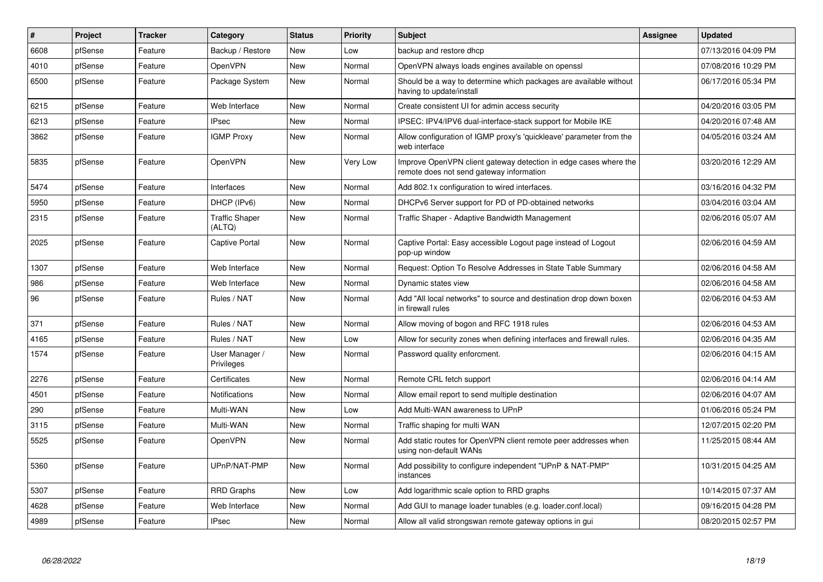| $\pmb{\#}$ | Project | <b>Tracker</b> | Category                        | <b>Status</b> | Priority | <b>Subject</b>                                                                                               | Assignee | <b>Updated</b>      |
|------------|---------|----------------|---------------------------------|---------------|----------|--------------------------------------------------------------------------------------------------------------|----------|---------------------|
| 6608       | pfSense | Feature        | Backup / Restore                | <b>New</b>    | Low      | backup and restore dhcp                                                                                      |          | 07/13/2016 04:09 PM |
| 4010       | pfSense | Feature        | <b>OpenVPN</b>                  | New           | Normal   | OpenVPN always loads engines available on openssl                                                            |          | 07/08/2016 10:29 PM |
| 6500       | pfSense | Feature        | Package System                  | New           | Normal   | Should be a way to determine which packages are available without<br>having to update/install                |          | 06/17/2016 05:34 PM |
| 6215       | pfSense | Feature        | Web Interface                   | New           | Normal   | Create consistent UI for admin access security                                                               |          | 04/20/2016 03:05 PM |
| 6213       | pfSense | Feature        | <b>IPsec</b>                    | New           | Normal   | IPSEC: IPV4/IPV6 dual-interface-stack support for Mobile IKE                                                 |          | 04/20/2016 07:48 AM |
| 3862       | pfSense | Feature        | <b>IGMP Proxy</b>               | New           | Normal   | Allow configuration of IGMP proxy's 'quickleave' parameter from the<br>web interface                         |          | 04/05/2016 03:24 AM |
| 5835       | pfSense | Feature        | OpenVPN                         | New           | Very Low | Improve OpenVPN client gateway detection in edge cases where the<br>remote does not send gateway information |          | 03/20/2016 12:29 AM |
| 5474       | pfSense | Feature        | Interfaces                      | <b>New</b>    | Normal   | Add 802.1x configuration to wired interfaces.                                                                |          | 03/16/2016 04:32 PM |
| 5950       | pfSense | Feature        | DHCP (IPv6)                     | New           | Normal   | DHCPv6 Server support for PD of PD-obtained networks                                                         |          | 03/04/2016 03:04 AM |
| 2315       | pfSense | Feature        | <b>Traffic Shaper</b><br>(ALTQ) | New           | Normal   | Traffic Shaper - Adaptive Bandwidth Management                                                               |          | 02/06/2016 05:07 AM |
| 2025       | pfSense | Feature        | Captive Portal                  | New           | Normal   | Captive Portal: Easy accessible Logout page instead of Logout<br>pop-up window                               |          | 02/06/2016 04:59 AM |
| 1307       | pfSense | Feature        | Web Interface                   | <b>New</b>    | Normal   | Request: Option To Resolve Addresses in State Table Summary                                                  |          | 02/06/2016 04:58 AM |
| 986        | pfSense | Feature        | Web Interface                   | New           | Normal   | Dynamic states view                                                                                          |          | 02/06/2016 04:58 AM |
| 96         | pfSense | Feature        | Rules / NAT                     | New           | Normal   | Add "All local networks" to source and destination drop down boxen<br>in firewall rules                      |          | 02/06/2016 04:53 AM |
| 371        | pfSense | Feature        | Rules / NAT                     | New           | Normal   | Allow moving of bogon and RFC 1918 rules                                                                     |          | 02/06/2016 04:53 AM |
| 4165       | pfSense | Feature        | Rules / NAT                     | New           | Low      | Allow for security zones when defining interfaces and firewall rules.                                        |          | 02/06/2016 04:35 AM |
| 1574       | pfSense | Feature        | User Manager /<br>Privileges    | New           | Normal   | Password quality enforcment.                                                                                 |          | 02/06/2016 04:15 AM |
| 2276       | pfSense | Feature        | Certificates                    | New           | Normal   | Remote CRL fetch support                                                                                     |          | 02/06/2016 04:14 AM |
| 4501       | pfSense | Feature        | Notifications                   | New           | Normal   | Allow email report to send multiple destination                                                              |          | 02/06/2016 04:07 AM |
| 290        | pfSense | Feature        | Multi-WAN                       | New           | Low      | Add Multi-WAN awareness to UPnP                                                                              |          | 01/06/2016 05:24 PM |
| 3115       | pfSense | Feature        | Multi-WAN                       | New           | Normal   | Traffic shaping for multi WAN                                                                                |          | 12/07/2015 02:20 PM |
| 5525       | pfSense | Feature        | OpenVPN                         | New           | Normal   | Add static routes for OpenVPN client remote peer addresses when<br>using non-default WANs                    |          | 11/25/2015 08:44 AM |
| 5360       | pfSense | Feature        | UPnP/NAT-PMP                    | New           | Normal   | Add possibility to configure independent "UPnP & NAT-PMP"<br>instances                                       |          | 10/31/2015 04:25 AM |
| 5307       | pfSense | Feature        | <b>RRD Graphs</b>               | New           | Low      | Add logarithmic scale option to RRD graphs                                                                   |          | 10/14/2015 07:37 AM |
| 4628       | pfSense | Feature        | Web Interface                   | New           | Normal   | Add GUI to manage loader tunables (e.g. loader.conf.local)                                                   |          | 09/16/2015 04:28 PM |
| 4989       | pfSense | Feature        | <b>IPsec</b>                    | <b>New</b>    | Normal   | Allow all valid strongswan remote gateway options in gui                                                     |          | 08/20/2015 02:57 PM |